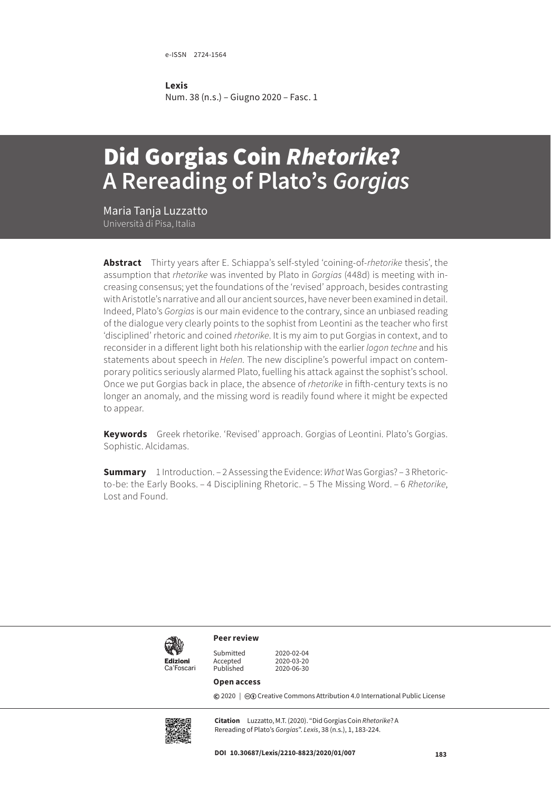e-ISSN 2724-1564

#### **Lexis**

Num. 38 (n.s.) – Giugno 2020 – Fasc. 1

# Did Gorgias Coin *Rhetorike*? **A Rereading of Plato's** *Gorgias*

Maria Tanja Luzzatto Università di Pisa, Italia

**Abstract** Thirty years after E. Schiappa's self-styled 'coining-of-*rhetorike* thesis', the assumption that *rhetorike* was invented by Plato in *Gorgias* (448d) is meeting with increasing consensus; yet the foundations of the 'revised' approach, besides contrasting with Aristotle's narrative and all our ancient sources, have never been examined in detail. Indeed, Plato's *Gorgias* is our main evidence to the contrary, since an unbiased reading of the dialogue very clearly points to the sophist from Leontini as the teacher who first 'disciplined' rhetoric and coined *rhetorike*. It is my aim to put Gorgias in context, and to reconsider in a different light both his relationship with the earlier *logon techne* and his statements about speech in *Helen*. The new discipline's powerful impact on contemporary politics seriously alarmed Plato, fuelling his attack against the sophist's school. Once we put Gorgias back in place, the absence of *rhetorike* in fifth-century texts is no longer an anomaly, and the missing word is readily found where it might be expected to appear.

**Keywords** Greek rhetorike. 'Revised' approach. Gorgias of Leontini. Plato's Gorgias. Sophistic. Alcidamas.

**Summary** 1 Introduction. – 2 Assessing the Evidence: *What* Was Gorgias? – 3 Rhetoricto-be: the Early Books. – 4 Disciplining Rhetoric. – 5 The Missing Word. – 6 *Rhetorike*, Lost and Found.



**Peer review**

Ca'Foscari

Submitted 2020-02-04 Accepted 2020-03-20<br>Published 2020-06-30 2020-06-30

#### **Open access**

**©** 2020 | ©**O** [Creative Commons Attribution 4.0 International Public License](https://creativecommons.org/licenses/by/4.0/)



**Citation** Luzzatto, M.T. (2020). "Did Gorgias Coin *Rhetorike*? A Rereading of Plato's *Gorgias*". *Lexis*, 38 (n.s.), 1, 183-224.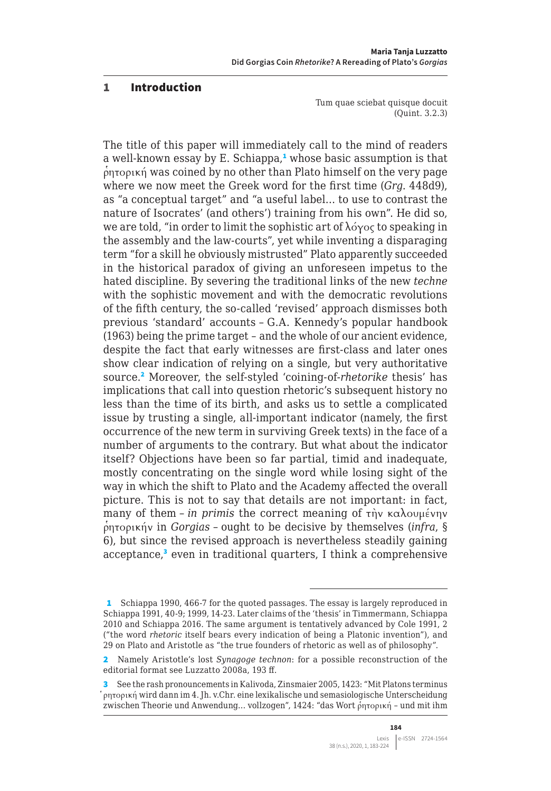#### 1 Introduction

Tum quae sciebat quisque docuit (Quint. 3.2.3)

The title of this paper will immediately call to the mind of readers a well-known essay by E. Schiappa,<sup>1</sup> whose basic assumption is that  $\phi$ ητορική was coined by no other than Plato himself on the very page where we now meet the Greek word for the first time (*Grg*. 448d9), as "a conceptual target" and "a useful label… to use to contrast the nature of Isocrates' (and others') training from his own". He did so, we are told, "in order to limit the sophistic art of λόγος to speaking in the assembly and the law-courts", yet while inventing a disparaging term "for a skill he obviously mistrusted" Plato apparently succeeded in the historical paradox of giving an unforeseen impetus to the hated discipline. By severing the traditional links of the new *techne* with the sophistic movement and with the democratic revolutions of the fifth century, the so-called 'revised' approach dismisses both previous 'standard' accounts – G.A. Kennedy's popular handbook (1963) being the prime target – and the whole of our ancient evidence, despite the fact that early witnesses are first-class and later ones show clear indication of relying on a single, but very authoritative source.<sup>2</sup> Moreover, the self-styled 'coining-of-*rhetorike* thesis' has implications that call into question rhetoric's subsequent history no less than the time of its birth, and asks us to settle a complicated issue by trusting a single, all-important indicator (namely, the first occurrence of the new term in surviving Greek texts) in the face of a number of arguments to the contrary. But what about the indicator itself? Objections have been so far partial, timid and inadequate, mostly concentrating on the single word while losing sight of the way in which the shift to Plato and the Academy affected the overall picture. This is not to say that details are not important: in fact, many of them – *in primis* the correct meaning of τὴν καλουμένην ρ῾ητορικήν in *Gorgias* – ought to be decisive by themselves (*infra*, § 6), but since the revised approach is nevertheless steadily gaining acceptance,<sup>3</sup> even in traditional quarters, I think a comprehensive

<sup>1</sup> Schiappa 1990, 466-7 for the quoted passages. The essay is largely reproduced in Schiappa 1991, 40-9; 1999, 14-23. Later claims of the 'thesis' in Timmermann, Schiappa 2010 and Schiappa 2016. The same argument is tentatively advanced by Cole 1991, 2 ("the word *rhetoric* itself bears every indication of being a Platonic invention"), and 29 on Plato and Aristotle as "the true founders of rhetoric as well as of philosophy".

<sup>2</sup> Namely Aristotle's lost *Synagoge technon*: for a possible reconstruction of the editorial format see Luzzatto 2008a, 193 ff.

<sup>3</sup> See the rash pronouncements in Kalivoda, Zinsmaier 2005, 1423: "Mit Platons terminus ῥητορική wird dann im 4. Jh. v.Chr. eine lexikalische und semasiologische Unterscheidung zwischen Theorie und Anwendung... vollzogen", 1424: "das Wort ρητορική - und mit ihm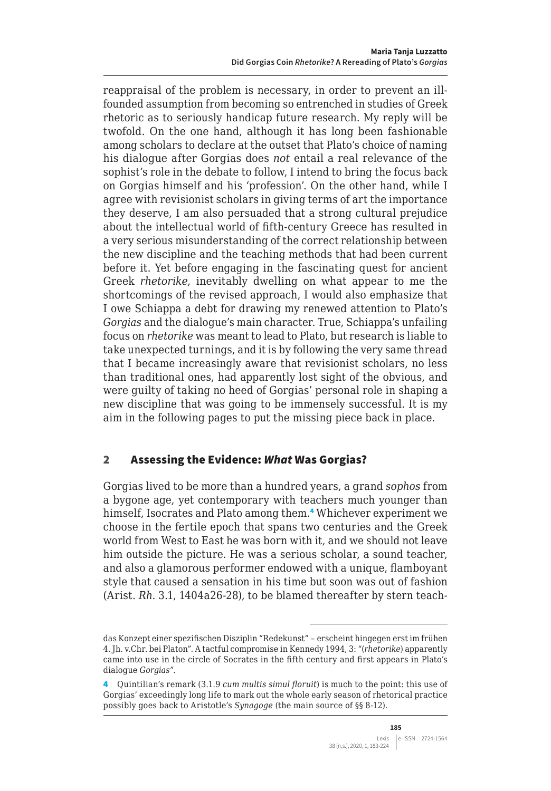reappraisal of the problem is necessary, in order to prevent an illfounded assumption from becoming so entrenched in studies of Greek rhetoric as to seriously handicap future research. My reply will be twofold. On the one hand, although it has long been fashionable among scholars to declare at the outset that Plato's choice of naming his dialogue after Gorgias does *not* entail a real relevance of the sophist's role in the debate to follow, I intend to bring the focus back on Gorgias himself and his 'profession'. On the other hand, while I agree with revisionist scholars in giving terms of art the importance they deserve, I am also persuaded that a strong cultural prejudice about the intellectual world of fifth-century Greece has resulted in a very serious misunderstanding of the correct relationship between the new discipline and the teaching methods that had been current before it. Yet before engaging in the fascinating quest for ancient Greek *rhetorike*, inevitably dwelling on what appear to me the shortcomings of the revised approach, I would also emphasize that I owe Schiappa a debt for drawing my renewed attention to Plato's *Gorgias* and the dialogue's main character. True, Schiappa's unfailing focus on *rhetorike* was meant to lead to Plato, but research is liable to take unexpected turnings, and it is by following the very same thread that I became increasingly aware that revisionist scholars, no less than traditional ones, had apparently lost sight of the obvious, and were guilty of taking no heed of Gorgias' personal role in shaping a new discipline that was going to be immensely successful. It is my aim in the following pages to put the missing piece back in place.

## 2 Assessing the Evidence: *What* Was Gorgias?

Gorgias lived to be more than a hundred years, a grand *sophos* from a bygone age, yet contemporary with teachers much younger than himself, Isocrates and Plato among them.<sup>4</sup> Whichever experiment we choose in the fertile epoch that spans two centuries and the Greek world from West to East he was born with it, and we should not leave him outside the picture. He was a serious scholar, a sound teacher, and also a glamorous performer endowed with a unique, flamboyant style that caused a sensation in his time but soon was out of fashion (Arist. *Rh*. 3.1, 1404a26-28), to be blamed thereafter by stern teach-

das Konzept einer spezifischen Disziplin "Redekunst" – erscheint hingegen erst im frühen 4. Jh. v.Chr. bei Platon". A tactful compromise in Kennedy 1994, 3: "(*rhetorike*) apparently came into use in the circle of Socrates in the fifth century and first appears in Plato's dialogue *Gorgias*".

<sup>4</sup> Quintilian's remark (3.1.9 *cum multis simul floruit*) is much to the point: this use of Gorgias' exceedingly long life to mark out the whole early season of rhetorical practice possibly goes back to Aristotle's *Synagoge* (the main source of §§ 8-12).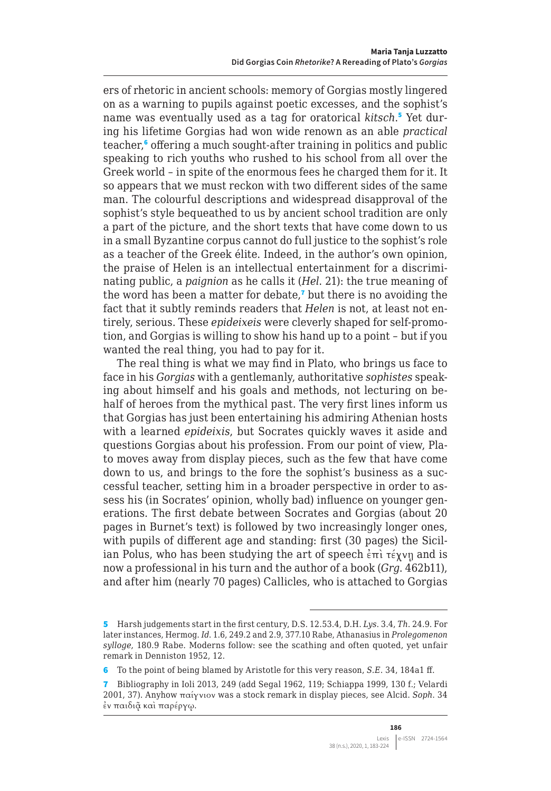ers of rhetoric in ancient schools: memory of Gorgias mostly lingered on as a warning to pupils against poetic excesses, and the sophist's name was eventually used as a tag for oratorical kitsch.<sup>5</sup> Yet during his lifetime Gorgias had won wide renown as an able *practical* teacher,<sup>6</sup> offering a much sought-after training in politics and public speaking to rich youths who rushed to his school from all over the Greek world – in spite of the enormous fees he charged them for it. It so appears that we must reckon with two different sides of the same man. The colourful descriptions and widespread disapproval of the sophist's style bequeathed to us by ancient school tradition are only a part of the picture, and the short texts that have come down to us in a small Byzantine corpus cannot do full justice to the sophist's role as a teacher of the Greek élite. Indeed, in the author's own opinion, the praise of Helen is an intellectual entertainment for a discriminating public, a *paignion* as he calls it (*Hel*. 21): the true meaning of the word has been a matter for debate, $<sup>7</sup>$  but there is no avoiding the</sup> fact that it subtly reminds readers that *Helen* is not, at least not entirely, serious. These *epideixeis* were cleverly shaped for self-promotion, and Gorgias is willing to show his hand up to a point – but if you wanted the real thing, you had to pay for it.

The real thing is what we may find in Plato, who brings us face to face in his *Gorgias* with a gentlemanly, authoritative *sophistes* speaking about himself and his goals and methods, not lecturing on behalf of heroes from the mythical past. The very first lines inform us that Gorgias has just been entertaining his admiring Athenian hosts with a learned *epideixis*, but Socrates quickly waves it aside and questions Gorgias about his profession. From our point of view, Plato moves away from display pieces, such as the few that have come down to us, and brings to the fore the sophist's business as a successful teacher, setting him in a broader perspective in order to assess his (in Socrates' opinion, wholly bad) influence on younger generations. The first debate between Socrates and Gorgias (about 20 pages in Burnet's text) is followed by two increasingly longer ones, with pupils of different age and standing: first (30 pages) the Sicilian Polus, who has been studying the art of speech ἐπὶ τέχνῃ and is now a professional in his turn and the author of a book (*Grg*. 462b11), and after him (nearly 70 pages) Callicles, who is attached to Gorgias

<sup>5</sup> Harsh judgements start in the first century, D.S. 12.53.4, D.H. *Lys*. 3.4, *Th*. 24.9. For later instances, Hermog. *Id*. 1.6, 249.2 and 2.9, 377.10 Rabe, Athanasius in *Prolegomenon sylloge*, 180.9 Rabe. Moderns follow: see the scathing and often quoted, yet unfair remark in Denniston 1952, 12.

<sup>6</sup> To the point of being blamed by Aristotle for this very reason, *S.E*. 34, 184a1 ff.

<sup>7</sup> Bibliography in Ioli 2013, 249 (add Segal 1962, 119; Schiappa 1999, 130 f.; Velardi 2001, 37). Anyhow παίγνιον was a stock remark in display pieces, see Alcid. *Soph*. 34 ἐν παιδιᾷ καὶ παρέργῳ.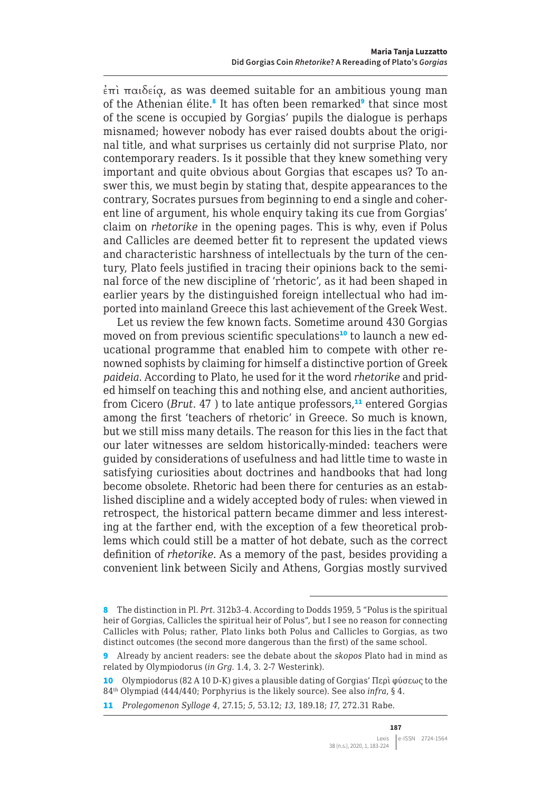$\epsilon$ πὶ παιδεία, as was deemed suitable for an ambitious young man of the Athenian élite.<sup>8</sup> It has often been remarked<sup>9</sup> that since most of the scene is occupied by Gorgias' pupils the dialogue is perhaps misnamed; however nobody has ever raised doubts about the original title, and what surprises us certainly did not surprise Plato, nor contemporary readers. Is it possible that they knew something very important and quite obvious about Gorgias that escapes us? To answer this, we must begin by stating that, despite appearances to the contrary, Socrates pursues from beginning to end a single and coherent line of argument, his whole enquiry taking its cue from Gorgias' claim on *rhetorike* in the opening pages. This is why, even if Polus and Callicles are deemed better fit to represent the updated views and characteristic harshness of intellectuals by the turn of the century, Plato feels justified in tracing their opinions back to the seminal force of the new discipline of 'rhetoric', as it had been shaped in earlier years by the distinguished foreign intellectual who had imported into mainland Greece this last achievement of the Greek West.

Let us review the few known facts. Sometime around 430 Gorgias moved on from previous scientific speculations<sup>10</sup> to launch a new educational programme that enabled him to compete with other renowned sophists by claiming for himself a distinctive portion of Greek *paideia*. According to Plato, he used for it the word *rhetorike* and prided himself on teaching this and nothing else, and ancient authorities, from Cicero (*Brut.* 47) to late antique professors,<sup>11</sup> entered Gorgias among the first 'teachers of rhetoric' in Greece. So much is known, but we still miss many details. The reason for this lies in the fact that our later witnesses are seldom historically-minded: teachers were guided by considerations of usefulness and had little time to waste in satisfying curiosities about doctrines and handbooks that had long become obsolete. Rhetoric had been there for centuries as an established discipline and a widely accepted body of rules: when viewed in retrospect, the historical pattern became dimmer and less interesting at the farther end, with the exception of a few theoretical problems which could still be a matter of hot debate, such as the correct definition of *rhetorike*. As a memory of the past, besides providing a convenient link between Sicily and Athens, Gorgias mostly survived

<sup>8</sup> The distinction in Pl. *Prt*. 312b3-4. According to Dodds 1959, 5 "Polus is the spiritual heir of Gorgias, Callicles the spiritual heir of Polus", but I see no reason for connecting Callicles with Polus; rather, Plato links both Polus and Callicles to Gorgias, as two distinct outcomes (the second more dangerous than the first) of the same school.

<sup>9</sup> Already by ancient readers: see the debate about the *skopos* Plato had in mind as related by Olympiodorus (*in Grg.* 1.4, 3. 2-7 Westerink).

<sup>10</sup> Olympiodorus (82 A 10 D-K) gives a plausible dating of Gorgias' Περὶ φύσεως to the 84th Olympiad (444/440; Porphyrius is the likely source). See also *infra*, § 4.

<sup>11</sup> *Prolegomenon Sylloge 4*, 27.15; *5*, 53.12; *13*, 189.18; *17*, 272.31 Rabe.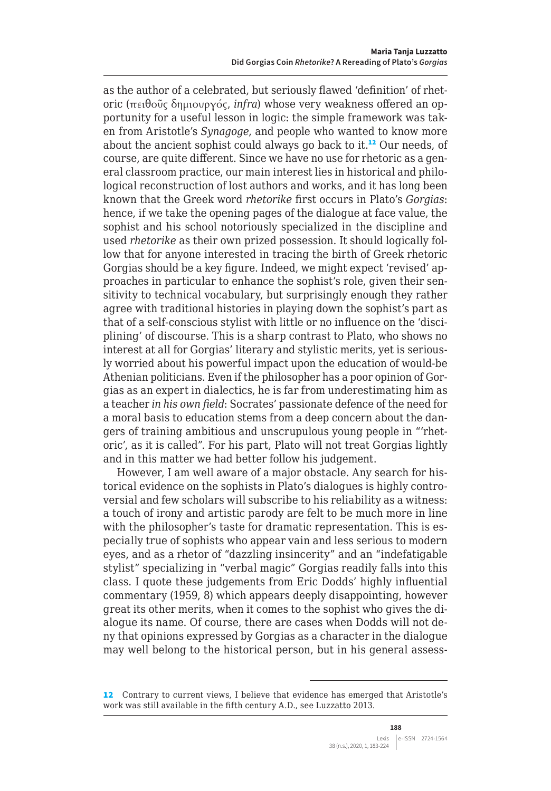as the author of a celebrated, but seriously flawed 'definition' of rhetoric (πειθοῦς δημιουργός, *infra*) whose very weakness offered an opportunity for a useful lesson in logic: the simple framework was taken from Aristotle's *Synagoge*, and people who wanted to know more about the ancient sophist could always go back to it.<sup>12</sup> Our needs, of course, are quite different. Since we have no use for rhetoric as a general classroom practice, our main interest lies in historical and philological reconstruction of lost authors and works, and it has long been known that the Greek word *rhetorike* first occurs in Plato's *Gorgias*: hence, if we take the opening pages of the dialogue at face value, the sophist and his school notoriously specialized in the discipline and used *rhetorike* as their own prized possession. It should logically follow that for anyone interested in tracing the birth of Greek rhetoric Gorgias should be a key figure. Indeed, we might expect 'revised' approaches in particular to enhance the sophist's role, given their sensitivity to technical vocabulary, but surprisingly enough they rather agree with traditional histories in playing down the sophist's part as that of a self-conscious stylist with little or no influence on the 'disciplining' of discourse. This is a sharp contrast to Plato, who shows no interest at all for Gorgias' literary and stylistic merits, yet is seriously worried about his powerful impact upon the education of would-be Athenian politicians. Even if the philosopher has a poor opinion of Gorgias as an expert in dialectics, he is far from underestimating him as a teacher *in his own field*: Socrates' passionate defence of the need for a moral basis to education stems from a deep concern about the dangers of training ambitious and unscrupulous young people in "'rhetoric', as it is called". For his part, Plato will not treat Gorgias lightly and in this matter we had better follow his judgement.

However, I am well aware of a major obstacle. Any search for historical evidence on the sophists in Plato's dialogues is highly controversial and few scholars will subscribe to his reliability as a witness: a touch of irony and artistic parody are felt to be much more in line with the philosopher's taste for dramatic representation. This is especially true of sophists who appear vain and less serious to modern eyes, and as a rhetor of "dazzling insincerity" and an "indefatigable stylist" specializing in "verbal magic" Gorgias readily falls into this class. I quote these judgements from Eric Dodds' highly influential commentary (1959, 8) which appears deeply disappointing, however great its other merits, when it comes to the sophist who gives the dialogue its name. Of course, there are cases when Dodds will not deny that opinions expressed by Gorgias as a character in the dialogue may well belong to the historical person, but in his general assess-

<sup>12</sup> Contrary to current views, I believe that evidence has emerged that Aristotle's work was still available in the fifth century A.D., see Luzzatto 2013.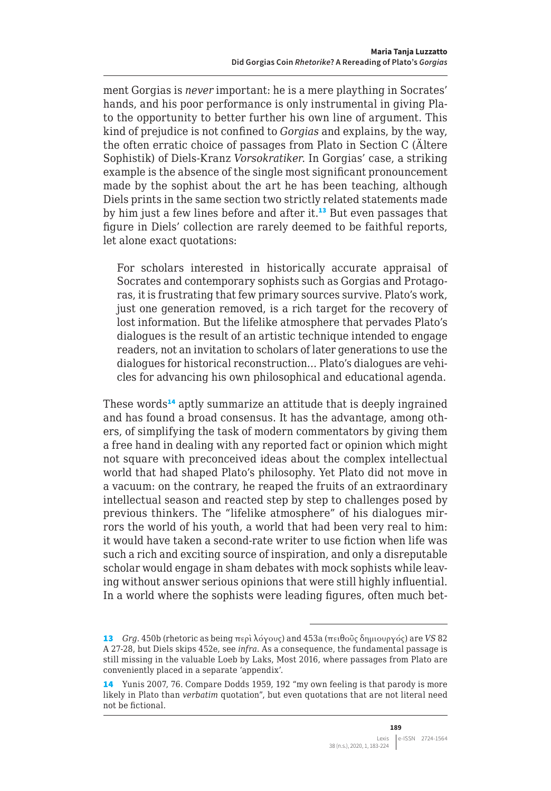ment Gorgias is *never* important: he is a mere plaything in Socrates' hands, and his poor performance is only instrumental in giving Plato the opportunity to better further his own line of argument. This kind of prejudice is not confined to *Gorgias* and explains, by the way, the often erratic choice of passages from Plato in Section C (Ältere Sophistik) of Diels-Kranz *Vorsokratiker*. In Gorgias' case, a striking example is the absence of the single most significant pronouncement made by the sophist about the art he has been teaching, although Diels prints in the same section two strictly related statements made by him just a few lines before and after it.<sup>13</sup> But even passages that figure in Diels' collection are rarely deemed to be faithful reports, let alone exact quotations:

For scholars interested in historically accurate appraisal of Socrates and contemporary sophists such as Gorgias and Protagoras, it is frustrating that few primary sources survive. Plato's work, just one generation removed, is a rich target for the recovery of lost information. But the lifelike atmosphere that pervades Plato's dialogues is the result of an artistic technique intended to engage readers, not an invitation to scholars of later generations to use the dialogues for historical reconstruction… Plato's dialogues are vehicles for advancing his own philosophical and educational agenda.

These words<sup>14</sup> aptly summarize an attitude that is deeply ingrained and has found a broad consensus. It has the advantage, among others, of simplifying the task of modern commentators by giving them a free hand in dealing with any reported fact or opinion which might not square with preconceived ideas about the complex intellectual world that had shaped Plato's philosophy. Yet Plato did not move in a vacuum: on the contrary, he reaped the fruits of an extraordinary intellectual season and reacted step by step to challenges posed by previous thinkers. The "lifelike atmosphere" of his dialogues mirrors the world of his youth, a world that had been very real to him: it would have taken a second-rate writer to use fiction when life was such a rich and exciting source of inspiration, and only a disreputable scholar would engage in sham debates with mock sophists while leaving without answer serious opinions that were still highly influential. In a world where the sophists were leading figures, often much bet-

<sup>13</sup> *Grg*. 450b (rhetoric as being περὶ λόγους) and 453a (πειθοῦς δημιουργός) are *VS* 82 A 27-28, but Diels skips 452e, see *infra*. As a consequence, the fundamental passage is still missing in the valuable Loeb by Laks, Most 2016, where passages from Plato are conveniently placed in a separate 'appendix'.

<sup>14</sup> Yunis 2007, 76. Compare Dodds 1959, 192 "my own feeling is that parody is more likely in Plato than *verbatim* quotation", but even quotations that are not literal need not be fictional.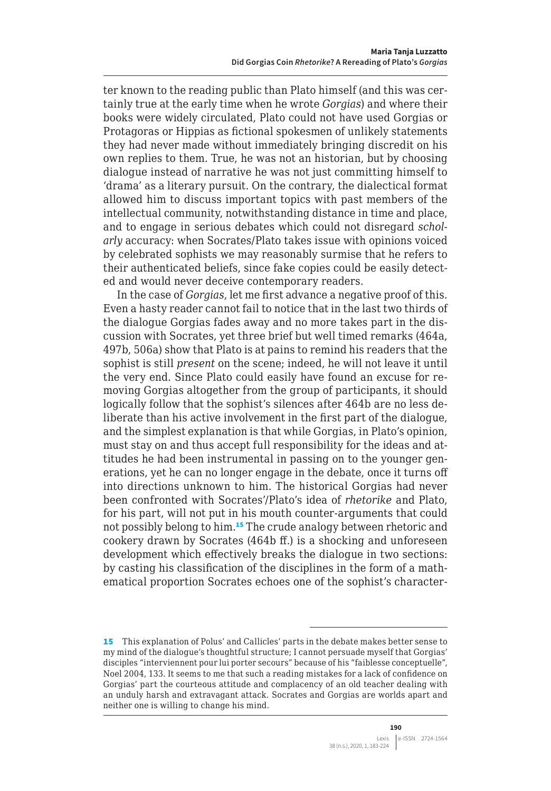ter known to the reading public than Plato himself (and this was certainly true at the early time when he wrote *Gorgias*) and where their books were widely circulated, Plato could not have used Gorgias or Protagoras or Hippias as fictional spokesmen of unlikely statements they had never made without immediately bringing discredit on his own replies to them. True, he was not an historian, but by choosing dialogue instead of narrative he was not just committing himself to 'drama' as a literary pursuit. On the contrary, the dialectical format allowed him to discuss important topics with past members of the intellectual community, notwithstanding distance in time and place, and to engage in serious debates which could not disregard *scholarly* accuracy: when Socrates/Plato takes issue with opinions voiced by celebrated sophists we may reasonably surmise that he refers to their authenticated beliefs, since fake copies could be easily detected and would never deceive contemporary readers.

In the case of *Gorgias*, let me first advance a negative proof of this. Even a hasty reader cannot fail to notice that in the last two thirds of the dialogue Gorgias fades away and no more takes part in the discussion with Socrates, yet three brief but well timed remarks (464a, 497b, 506a) show that Plato is at pains to remind his readers that the sophist is still *present* on the scene; indeed, he will not leave it until the very end. Since Plato could easily have found an excuse for removing Gorgias altogether from the group of participants, it should logically follow that the sophist's silences after 464b are no less deliberate than his active involvement in the first part of the dialogue, and the simplest explanation is that while Gorgias, in Plato's opinion, must stay on and thus accept full responsibility for the ideas and attitudes he had been instrumental in passing on to the younger generations, yet he can no longer engage in the debate, once it turns off into directions unknown to him. The historical Gorgias had never been confronted with Socrates'/Plato's idea of *rhetorike* and Plato, for his part, will not put in his mouth counter-arguments that could not possibly belong to him.<sup>15</sup> The crude analogy between rhetoric and cookery drawn by Socrates (464b ff.) is a shocking and unforeseen development which effectively breaks the dialogue in two sections: by casting his classification of the disciplines in the form of a mathematical proportion Socrates echoes one of the sophist's character-

<sup>15</sup> This explanation of Polus' and Callicles' parts in the debate makes better sense to my mind of the dialogue's thoughtful structure; I cannot persuade myself that Gorgias' disciples "interviennent pour lui porter secours" because of his "faiblesse conceptuelle", Noel 2004, 133. It seems to me that such a reading mistakes for a lack of confidence on Gorgias' part the courteous attitude and complacency of an old teacher dealing with an unduly harsh and extravagant attack. Socrates and Gorgias are worlds apart and neither one is willing to change his mind.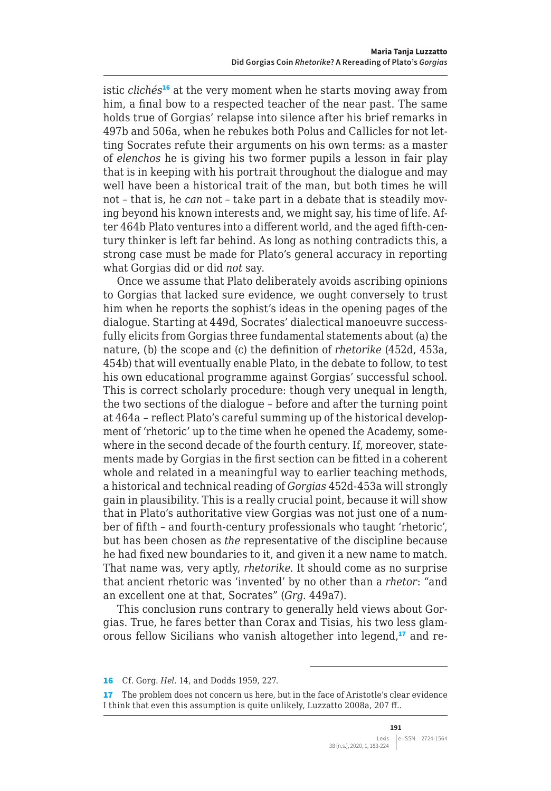istic *clichés*<sup>16</sup> at the very moment when he starts moving away from him, a final bow to a respected teacher of the near past. The same holds true of Gorgias' relapse into silence after his brief remarks in 497b and 506a, when he rebukes both Polus and Callicles for not letting Socrates refute their arguments on his own terms: as a master of *elenchos* he is giving his two former pupils a lesson in fair play that is in keeping with his portrait throughout the dialogue and may well have been a historical trait of the man, but both times he will not – that is, he *can* not – take part in a debate that is steadily moving beyond his known interests and, we might say, his time of life. After 464b Plato ventures into a different world, and the aged fifth-century thinker is left far behind. As long as nothing contradicts this, a strong case must be made for Plato's general accuracy in reporting what Gorgias did or did *not* say.

Once we assume that Plato deliberately avoids ascribing opinions to Gorgias that lacked sure evidence, we ought conversely to trust him when he reports the sophist's ideas in the opening pages of the dialogue. Starting at 449d, Socrates' dialectical manoeuvre successfully elicits from Gorgias three fundamental statements about (a) the nature, (b) the scope and (c) the definition of *rhetorike* (452d, 453a, 454b) that will eventually enable Plato, in the debate to follow, to test his own educational programme against Gorgias' successful school. This is correct scholarly procedure: though very unequal in length, the two sections of the dialogue – before and after the turning point at 464a – reflect Plato's careful summing up of the historical development of 'rhetoric' up to the time when he opened the Academy, somewhere in the second decade of the fourth century. If, moreover, statements made by Gorgias in the first section can be fitted in a coherent whole and related in a meaningful way to earlier teaching methods, a historical and technical reading of *Gorgias* 452d-453a will strongly gain in plausibility. This is a really crucial point, because it will show that in Plato's authoritative view Gorgias was not just one of a number of fifth – and fourth-century professionals who taught 'rhetoric', but has been chosen as *the* representative of the discipline because he had fixed new boundaries to it, and given it a new name to match. That name was, very aptly, *rhetorike*. It should come as no surprise that ancient rhetoric was 'invented' by no other than a *rhetor*: "and an excellent one at that, Socrates" (*Grg*. 449a7).

This conclusion runs contrary to generally held views about Gorgias. True, he fares better than Corax and Tisias, his two less glamorous fellow Sicilians who vanish altogether into legend,<sup>17</sup> and re-

<sup>16</sup> Cf. Gorg. *Hel*. 14, and Dodds 1959, 227.

<sup>17</sup> The problem does not concern us here, but in the face of Aristotle's clear evidence I think that even this assumption is quite unlikely, Luzzatto 2008a, 207 ff..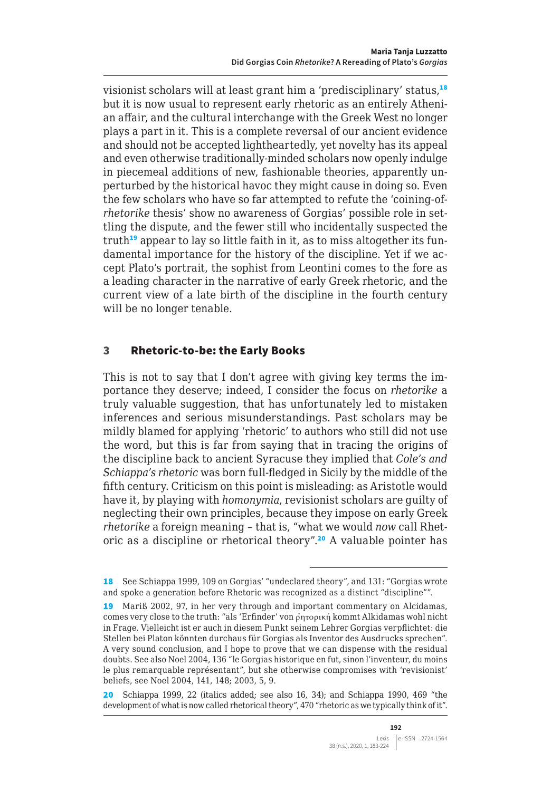visionist scholars will at least grant him a 'predisciplinary' status,<sup>18</sup> but it is now usual to represent early rhetoric as an entirely Athenian affair, and the cultural interchange with the Greek West no longer plays a part in it. This is a complete reversal of our ancient evidence and should not be accepted lightheartedly, yet novelty has its appeal and even otherwise traditionally-minded scholars now openly indulge in piecemeal additions of new, fashionable theories, apparently unperturbed by the historical havoc they might cause in doing so. Even the few scholars who have so far attempted to refute the 'coining-of*rhetorike* thesis' show no awareness of Gorgias' possible role in settling the dispute, and the fewer still who incidentally suspected the truth<sup>19</sup> appear to lay so little faith in it, as to miss altogether its fundamental importance for the history of the discipline. Yet if we accept Plato's portrait, the sophist from Leontini comes to the fore as a leading character in the narrative of early Greek rhetoric, and the current view of a late birth of the discipline in the fourth century will be no longer tenable.

#### 3 Rhetoric-to-be: the Early Books

This is not to say that I don't agree with giving key terms the importance they deserve; indeed, I consider the focus on *rhetorike* a truly valuable suggestion, that has unfortunately led to mistaken inferences and serious misunderstandings. Past scholars may be mildly blamed for applying 'rhetoric' to authors who still did not use the word, but this is far from saying that in tracing the origins of the discipline back to ancient Syracuse they implied that *Cole's and Schiappa's rhetoric* was born full-fledged in Sicily by the middle of the fifth century. Criticism on this point is misleading: as Aristotle would have it, by playing with *homonymia*, revisionist scholars are guilty of neglecting their own principles, because they impose on early Greek *rhetorike* a foreign meaning – that is, "what we would *now* call Rhetoric as a discipline or rhetorical theory".<sup>20</sup> A valuable pointer has

<sup>18</sup> See Schiappa 1999, 109 on Gorgias' "undeclared theory", and 131: "Gorgias wrote and spoke a generation before Rhetoric was recognized as a distinct "discipline"".

<sup>19</sup> Mariß 2002, 97, in her very through and important commentary on Alcidamas, comes very close to the truth: "als 'Erfinder' von ρητορική kommt Alkidamas wohl nicht in Frage. Vielleicht ist er auch in diesem Punkt seinem Lehrer Gorgias verpflichtet: die Stellen bei Platon könnten durchaus für Gorgias als Inventor des Ausdrucks sprechen". A very sound conclusion, and I hope to prove that we can dispense with the residual doubts. See also Noel 2004, 136 "le Gorgias historique en fut, sinon l'inventeur, du moins le plus remarquable représentant", but she otherwise compromises with 'revisionist' beliefs, see Noel 2004, 141, 148; 2003, 5, 9.

<sup>20</sup> Schiappa 1999, 22 (italics added; see also 16, 34); and Schiappa 1990, 469 "the development of what is now called rhetorical theory", 470 "rhetoric as we typically think of it".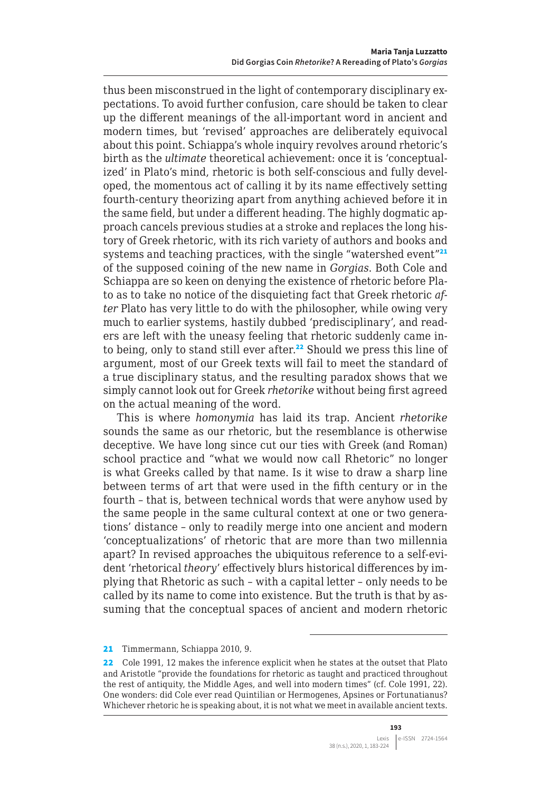thus been misconstrued in the light of contemporary disciplinary expectations. To avoid further confusion, care should be taken to clear up the different meanings of the all-important word in ancient and modern times, but 'revised' approaches are deliberately equivocal about this point. Schiappa's whole inquiry revolves around rhetoric's birth as the *ultimate* theoretical achievement: once it is 'conceptualized' in Plato's mind, rhetoric is both self-conscious and fully developed, the momentous act of calling it by its name effectively setting fourth-century theorizing apart from anything achieved before it in the same field, but under a different heading. The highly dogmatic approach cancels previous studies at a stroke and replaces the long history of Greek rhetoric, with its rich variety of authors and books and systems and teaching practices, with the single "watershed event"<sup>21</sup> of the supposed coining of the new name in *Gorgias*. Both Cole and Schiappa are so keen on denying the existence of rhetoric before Plato as to take no notice of the disquieting fact that Greek rhetoric *after* Plato has very little to do with the philosopher, while owing very much to earlier systems, hastily dubbed 'predisciplinary', and readers are left with the uneasy feeling that rhetoric suddenly came into being, only to stand still ever after.<sup>22</sup> Should we press this line of argument, most of our Greek texts will fail to meet the standard of a true disciplinary status, and the resulting paradox shows that we simply cannot look out for Greek *rhetorike* without being first agreed on the actual meaning of the word.

This is where *homonymia* has laid its trap. Ancient *rhetorike* sounds the same as our rhetoric, but the resemblance is otherwise deceptive. We have long since cut our ties with Greek (and Roman) school practice and "what we would now call Rhetoric" no longer is what Greeks called by that name. Is it wise to draw a sharp line between terms of art that were used in the fifth century or in the fourth – that is, between technical words that were anyhow used by the same people in the same cultural context at one or two generations' distance – only to readily merge into one ancient and modern 'conceptualizations' of rhetoric that are more than two millennia apart? In revised approaches the ubiquitous reference to a self-evident 'rhetorical *theory*' effectively blurs historical differences by implying that Rhetoric as such – with a capital letter – only needs to be called by its name to come into existence. But the truth is that by assuming that the conceptual spaces of ancient and modern rhetoric

<sup>21</sup> Timmermann, Schiappa 2010, 9.

<sup>22</sup> Cole 1991, 12 makes the inference explicit when he states at the outset that Plato and Aristotle "provide the foundations for rhetoric as taught and practiced throughout the rest of antiquity, the Middle Ages, and well into modern times" (cf. Cole 1991, 22). One wonders: did Cole ever read Quintilian or Hermogenes, Apsines or Fortunatianus? Whichever rhetoric he is speaking about, it is not what we meet in available ancient texts.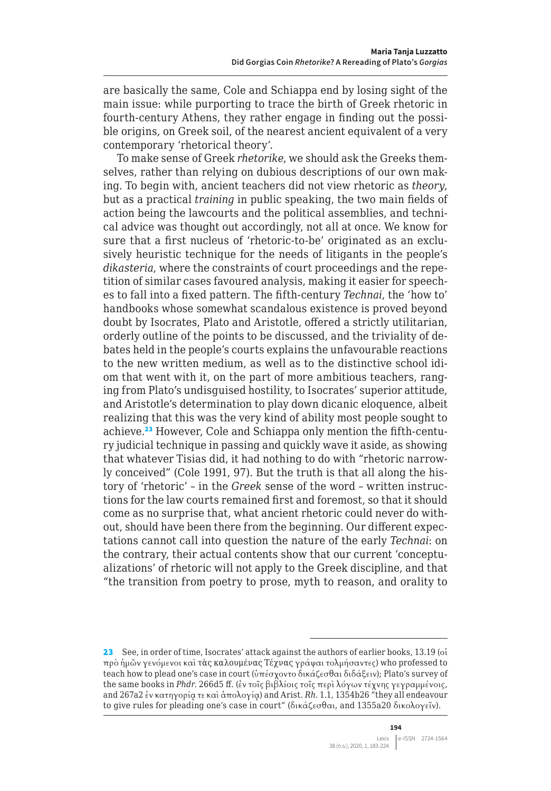are basically the same, Cole and Schiappa end by losing sight of the main issue: while purporting to trace the birth of Greek rhetoric in fourth-century Athens, they rather engage in finding out the possible origins, on Greek soil, of the nearest ancient equivalent of a very contemporary 'rhetorical theory'.

To make sense of Greek *rhetorike*, we should ask the Greeks themselves, rather than relying on dubious descriptions of our own making. To begin with, ancient teachers did not view rhetoric as *theory*, but as a practical *training* in public speaking, the two main fields of action being the lawcourts and the political assemblies, and technical advice was thought out accordingly, not all at once. We know for sure that a first nucleus of 'rhetoric-to-be' originated as an exclusively heuristic technique for the needs of litigants in the people's *dikasteria*, where the constraints of court proceedings and the repetition of similar cases favoured analysis, making it easier for speeches to fall into a fixed pattern. The fifth-century *Technai*, the 'how to' handbooks whose somewhat scandalous existence is proved beyond doubt by Isocrates, Plato and Aristotle, offered a strictly utilitarian, orderly outline of the points to be discussed, and the triviality of debates held in the people's courts explains the unfavourable reactions to the new written medium, as well as to the distinctive school idiom that went with it, on the part of more ambitious teachers, ranging from Plato's undisguised hostility, to Isocrates' superior attitude, and Aristotle's determination to play down dicanic eloquence, albeit realizing that this was the very kind of ability most people sought to achieve.23 However, Cole and Schiappa only mention the fifth-century judicial technique in passing and quickly wave it aside, as showing that whatever Tisias did, it had nothing to do with "rhetoric narrowly conceived" (Cole 1991, 97). But the truth is that all along the history of 'rhetoric' – in the *Greek* sense of the word – written instructions for the law courts remained first and foremost, so that it should come as no surprise that, what ancient rhetoric could never do without, should have been there from the beginning. Our different expectations cannot call into question the nature of the early *Technai*: on the contrary, their actual contents show that our current 'conceptualizations' of rhetoric will not apply to the Greek discipline, and that "the transition from poetry to prose, myth to reason, and orality to

<sup>23</sup> See, in order of time, Isocrates' attack against the authors of earlier books, 13.19 (oi πρὸ ἡμῶν γενόμενοι καὶ τὰς καλουμένας Τέχνας γράψαι τολμήσαντες) who professed to teach how to plead one's case in court (ὑπέσχοντο δικάζεσθαι διδάξειν); Plato's survey of the same books in *Phdr*. 266d5 ff. (ἐν τοῖς βιβλίοις τοῖς περὶ λόγων τέχνης γεγραμμένοις, and 267a2 ἐν κατηγορίᾳ τε καὶ ἀπολογίᾳ) and Arist. *Rh*. 1.1, 1354b26 "they all endeavour to give rules for pleading one's case in court" (δικάζεσθαι, and 1355a20 δικολογεῖν).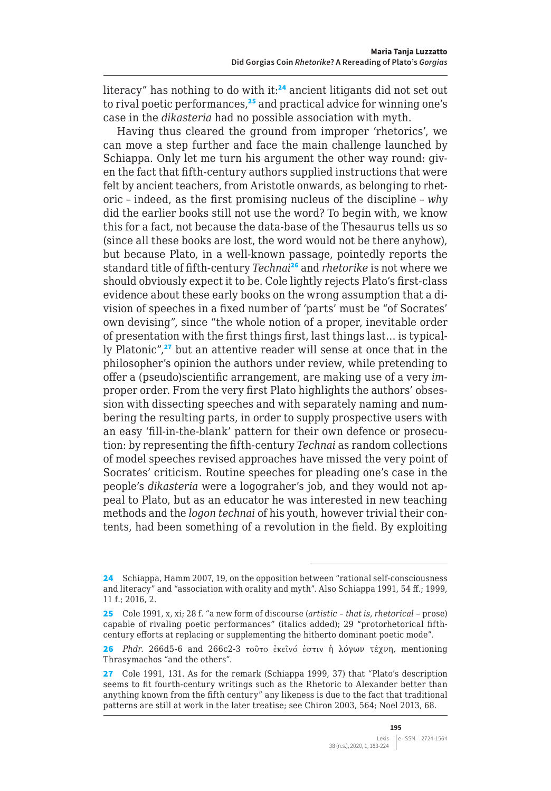literacy" has nothing to do with it: $24$  ancient litigants did not set out to rival poetic performances,<sup>25</sup> and practical advice for winning one's case in the *dikasteria* had no possible association with myth.

Having thus cleared the ground from improper 'rhetorics', we can move a step further and face the main challenge launched by Schiappa. Only let me turn his argument the other way round: given the fact that fifth-century authors supplied instructions that were felt by ancient teachers, from Aristotle onwards, as belonging to rhetoric – indeed, as the first promising nucleus of the discipline – *why* did the earlier books still not use the word? To begin with, we know this for a fact, not because the data-base of the Thesaurus tells us so (since all these books are lost, the word would not be there anyhow), but because Plato, in a well-known passage, pointedly reports the standard title of fifth-century *Technai*<sup>26</sup> and *rhetorike* is not where we should obviously expect it to be. Cole lightly rejects Plato's first-class evidence about these early books on the wrong assumption that a division of speeches in a fixed number of 'parts' must be "of Socrates' own devising", since "the whole notion of a proper, inevitable order of presentation with the first things first, last things last… is typically Platonic",<sup>27</sup> but an attentive reader will sense at once that in the philosopher's opinion the authors under review, while pretending to offer a (pseudo)scientific arrangement, are making use of a very *im*proper order. From the very first Plato highlights the authors' obsession with dissecting speeches and with separately naming and numbering the resulting parts, in order to supply prospective users with an easy 'fill-in-the-blank' pattern for their own defence or prosecution: by representing the fifth-century *Technai* as random collections of model speeches revised approaches have missed the very point of Socrates' criticism. Routine speeches for pleading one's case in the people's *dikasteria* were a logograher's job, and they would not appeal to Plato, but as an educator he was interested in new teaching methods and the *logon technai* of his youth, however trivial their contents, had been something of a revolution in the field. By exploiting

<sup>24</sup> Schiappa, Hamm 2007, 19, on the opposition between "rational self-consciousness and literacy" and "association with orality and myth". Also Schiappa 1991, 54 ff.; 1999, 11 f.; 2016, 2.

<sup>25</sup> Cole 1991, x, xi; 28 f. "a new form of discourse (*artistic – that is, rhetorical* – prose) capable of rivaling poetic performances" (italics added); 29 "protorhetorical fifthcentury efforts at replacing or supplementing the hitherto dominant poetic mode".

<sup>26</sup> *Phdr*. 266d5-6 and 266c2-3 τοῦτο ἐκεῖνό ἐστιν ἡ λόγων τέχνη, mentioning Thrasymachos "and the others".

<sup>27</sup> Cole 1991, 131. As for the remark (Schiappa 1999, 37) that "Plato's description seems to fit fourth-century writings such as the Rhetoric to Alexander better than anything known from the fifth century" any likeness is due to the fact that traditional patterns are still at work in the later treatise; see Chiron 2003, 564; Noel 2013, 68.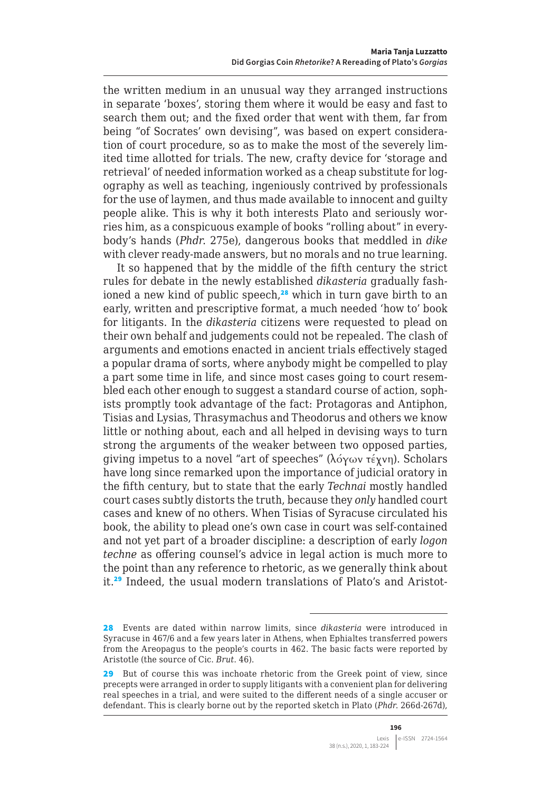the written medium in an unusual way they arranged instructions in separate 'boxes', storing them where it would be easy and fast to search them out; and the fixed order that went with them, far from being "of Socrates' own devising", was based on expert consideration of court procedure, so as to make the most of the severely limited time allotted for trials. The new, crafty device for 'storage and retrieval' of needed information worked as a cheap substitute for logography as well as teaching, ingeniously contrived by professionals for the use of laymen, and thus made available to innocent and guilty people alike. This is why it both interests Plato and seriously worries him, as a conspicuous example of books "rolling about" in everybody's hands (*Phdr*. 275e), dangerous books that meddled in *dike* with clever ready-made answers, but no morals and no true learning.

It so happened that by the middle of the fifth century the strict rules for debate in the newly established *dikasteria* gradually fashioned a new kind of public speech,<sup>28</sup> which in turn gave birth to an early, written and prescriptive format, a much needed 'how to' book for litigants. In the *dikasteria* citizens were requested to plead on their own behalf and judgements could not be repealed. The clash of arguments and emotions enacted in ancient trials effectively staged a popular drama of sorts, where anybody might be compelled to play a part some time in life, and since most cases going to court resembled each other enough to suggest a standard course of action, sophists promptly took advantage of the fact: Protagoras and Antiphon, Tisias and Lysias, Thrasymachus and Theodorus and others we know little or nothing about, each and all helped in devising ways to turn strong the arguments of the weaker between two opposed parties, giving impetus to a novel "art of speeches" (λόγων τέχνη). Scholars have long since remarked upon the importance of judicial oratory in the fifth century, but to state that the early *Technai* mostly handled court cases subtly distorts the truth, because they *only* handled court cases and knew of no others. When Tisias of Syracuse circulated his book, the ability to plead one's own case in court was self-contained and not yet part of a broader discipline: a description of early *logon techne* as offering counsel's advice in legal action is much more to the point than any reference to rhetoric, as we generally think about it.29 Indeed, the usual modern translations of Plato's and Aristot-

<sup>28</sup> Events are dated within narrow limits, since *dikasteria* were introduced in Syracuse in 467/6 and a few years later in Athens, when Ephialtes transferred powers from the Areopagus to the people's courts in 462. The basic facts were reported by Aristotle (the source of Cic. *Brut*. 46).

<sup>29</sup> But of course this was inchoate rhetoric from the Greek point of view, since precepts were arranged in order to supply litigants with a convenient plan for delivering real speeches in a trial, and were suited to the different needs of a single accuser or defendant. This is clearly borne out by the reported sketch in Plato (*Phdr*. 266d-267d),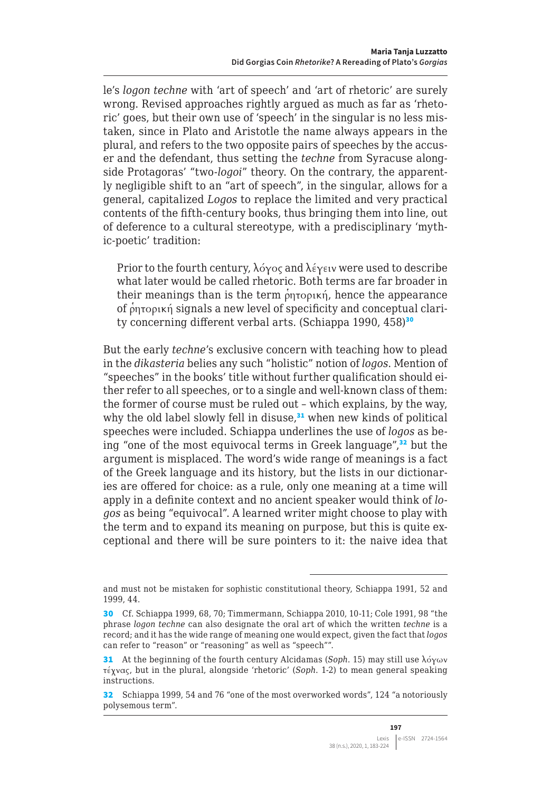le's *logon techne* with 'art of speech' and 'art of rhetoric' are surely wrong. Revised approaches rightly argued as much as far as 'rhetoric' goes, but their own use of 'speech' in the singular is no less mistaken, since in Plato and Aristotle the name always appears in the plural, and refers to the two opposite pairs of speeches by the accuser and the defendant, thus setting the *techne* from Syracuse alongside Protagoras' "two-*logoi*" theory. On the contrary, the apparently negligible shift to an "art of speech", in the singular, allows for a general, capitalized *Logos* to replace the limited and very practical contents of the fifth-century books, thus bringing them into line, out of deference to a cultural stereotype, with a predisciplinary 'mythic-poetic' tradition:

Prior to the fourth century,  $\lambda \acute{\sigma}$  and  $\lambda \acute{\epsilon}$   $\gamma \epsilon \nu$  were used to describe what later would be called rhetoric. Both terms are far broader in their meanings than is the term ρητορική, hence the appearance of ρητορική signals a new level of specificity and conceptual clarity concerning different verbal arts. (Schiappa 1990, 458)<sup>30</sup>

But the early *techne*'s exclusive concern with teaching how to plead in the *dikasteria* belies any such "holistic" notion of *logos*. Mention of "speeches" in the books' title without further qualification should either refer to all speeches, or to a single and well-known class of them: the former of course must be ruled out – which explains, by the way, why the old label slowly fell in disuse, $31$  when new kinds of political speeches were included. Schiappa underlines the use of *logos* as being "one of the most equivocal terms in Greek language",<sup>32</sup> but the argument is misplaced. The word's wide range of meanings is a fact of the Greek language and its history, but the lists in our dictionaries are offered for choice: as a rule, only one meaning at a time will apply in a definite context and no ancient speaker would think of *logos* as being "equivocal". A learned writer might choose to play with the term and to expand its meaning on purpose, but this is quite exceptional and there will be sure pointers to it: the naive idea that

and must not be mistaken for sophistic constitutional theory, Schiappa 1991, 52 and 1999, 44.

<sup>30</sup> Cf. Schiappa 1999, 68, 70; Timmermann, Schiappa 2010, 10-11; Cole 1991, 98 "the phrase *logon techne* can also designate the oral art of which the written *techne* is a record; and it has the wide range of meaning one would expect, given the fact that *logos* can refer to "reason" or "reasoning" as well as "speech"".

<sup>31</sup> At the beginning of the fourth century Alcidamas (*Soph*. 15) may still use λόγων τέχνας, but in the plural, alongside 'rhetoric' (*Soph*. 1-2) to mean general speaking instructions.

<sup>32</sup> Schiappa 1999, 54 and 76 "one of the most overworked words", 124 "a notoriously polysemous term".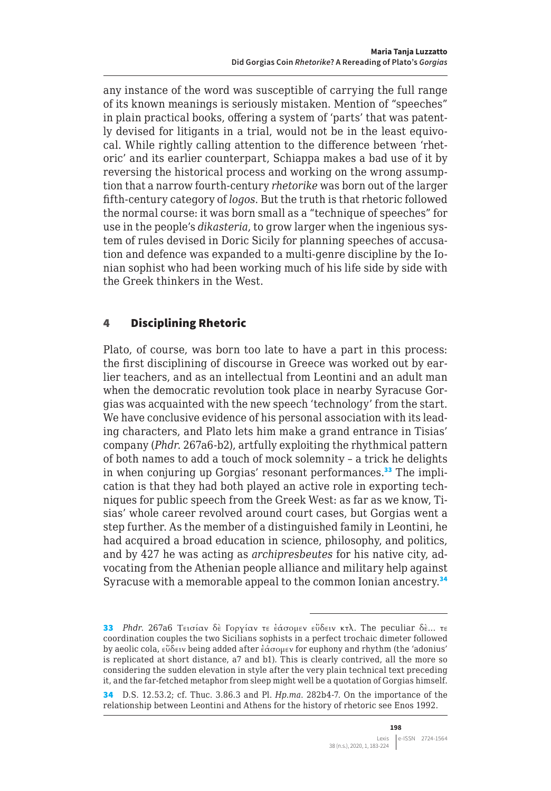any instance of the word was susceptible of carrying the full range of its known meanings is seriously mistaken. Mention of "speeches" in plain practical books, offering a system of 'parts' that was patently devised for litigants in a trial, would not be in the least equivocal. While rightly calling attention to the difference between 'rhetoric' and its earlier counterpart, Schiappa makes a bad use of it by reversing the historical process and working on the wrong assumption that a narrow fourth-century *rhetorike* was born out of the larger fifth-century category of *logos*. But the truth is that rhetoric followed the normal course: it was born small as a "technique of speeches" for use in the people's *dikasteria*, to grow larger when the ingenious system of rules devised in Doric Sicily for planning speeches of accusation and defence was expanded to a multi-genre discipline by the Ionian sophist who had been working much of his life side by side with the Greek thinkers in the West.

# 4 Disciplining Rhetoric

Plato, of course, was born too late to have a part in this process: the first disciplining of discourse in Greece was worked out by earlier teachers, and as an intellectual from Leontini and an adult man when the democratic revolution took place in nearby Syracuse Gorgias was acquainted with the new speech 'technology' from the start. We have conclusive evidence of his personal association with its leading characters, and Plato lets him make a grand entrance in Tisias' company (*Phdr*. 267a6-b2), artfully exploiting the rhythmical pattern of both names to add a touch of mock solemnity – a trick he delights in when conjuring up Gorgias' resonant performances.<sup>33</sup> The implication is that they had both played an active role in exporting techniques for public speech from the Greek West: as far as we know, Tisias' whole career revolved around court cases, but Gorgias went a step further. As the member of a distinguished family in Leontini, he had acquired a broad education in science, philosophy, and politics, and by 427 he was acting as *archipresbeutes* for his native city, advocating from the Athenian people alliance and military help against Syracuse with a memorable appeal to the common Ionian ancestry.<sup>34</sup>

<sup>33</sup> *Phdr*. 267a6 Τεισίαν δὲ Γοργίαν τε ἐάσομεν εὕδειν κτλ. The peculiar δὲ… τε coordination couples the two Sicilians sophists in a perfect trochaic dimeter followed by aeolic cola, εὕδειν being added after ἐάσομεν for euphony and rhythm (the 'adonius' is replicated at short distance, a7 and b1). This is clearly contrived, all the more so considering the sudden elevation in style after the very plain technical text preceding it, and the far-fetched metaphor from sleep might well be a quotation of Gorgias himself.

<sup>34</sup> D.S. 12.53.2; cf. Thuc. 3.86.3 and Pl. *Hp*.*[ma](http://Hp.ma)*. 282b4-7. On the importance of the relationship between Leontini and Athens for the history of rhetoric see Enos 1992.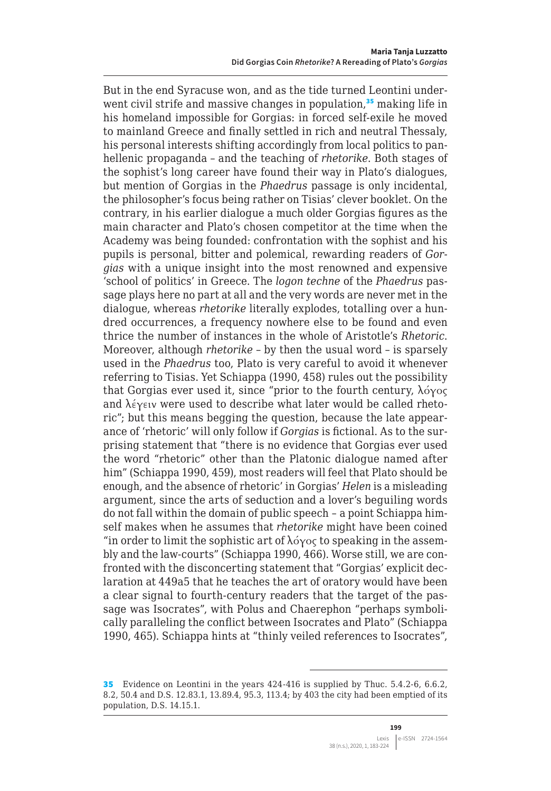But in the end Syracuse won, and as the tide turned Leontini underwent civil strife and massive changes in population,<sup>35</sup> making life in his homeland impossible for Gorgias: in forced self-exile he moved to mainland Greece and finally settled in rich and neutral Thessaly, his personal interests shifting accordingly from local politics to panhellenic propaganda – and the teaching of *rhetorike*. Both stages of the sophist's long career have found their way in Plato's dialogues, but mention of Gorgias in the *Phaedrus* passage is only incidental, the philosopher's focus being rather on Tisias' clever booklet. On the contrary, in his earlier dialogue a much older Gorgias figures as the main character and Plato's chosen competitor at the time when the Academy was being founded: confrontation with the sophist and his pupils is personal, bitter and polemical, rewarding readers of *Gorgias* with a unique insight into the most renowned and expensive 'school of politics' in Greece. The *logon techne* of the *Phaedrus* passage plays here no part at all and the very words are never met in the dialogue, whereas *rhetorike* literally explodes, totalling over a hundred occurrences, a frequency nowhere else to be found and even thrice the number of instances in the whole of Aristotle's *Rhetoric*. Moreover, although *rhetorike* – by then the usual word – is sparsely used in the *Phaedrus* too, Plato is very careful to avoid it whenever referring to Tisias. Yet Schiappa (1990, 458) rules out the possibility that Gorgias ever used it, since "prior to the fourth century, λόγος and λέγειν were used to describe what later would be called rhetoric"; but this means begging the question, because the late appearance of 'rhetoric' will only follow if *Gorgias* is fictional. As to the surprising statement that "there is no evidence that Gorgias ever used the word "rhetoric" other than the Platonic dialogue named after him" (Schiappa 1990, 459), most readers will feel that Plato should be enough, and the absence of rhetoric' in Gorgias' *Helen* is a misleading argument, since the arts of seduction and a lover's beguiling words do not fall within the domain of public speech – a point Schiappa himself makes when he assumes that *rhetorike* might have been coined "in order to limit the sophistic art of  $\lambda$ όγος to speaking in the assembly and the law-courts" (Schiappa 1990, 466). Worse still, we are confronted with the disconcerting statement that "Gorgias' explicit declaration at 449a5 that he teaches the art of oratory would have been a clear signal to fourth-century readers that the target of the passage was Isocrates", with Polus and Chaerephon "perhaps symbolically paralleling the conflict between Isocrates and Plato" (Schiappa 1990, 465). Schiappa hints at "thinly veiled references to Isocrates",

<sup>35</sup> Evidence on Leontini in the years 424-416 is supplied by Thuc. 5.4.2-6, 6.6.2, 8.2, 50.4 and D.S. 12.83.1, 13.89.4, 95.3, 113.4; by 403 the city had been emptied of its population, D.S. 14.15.1.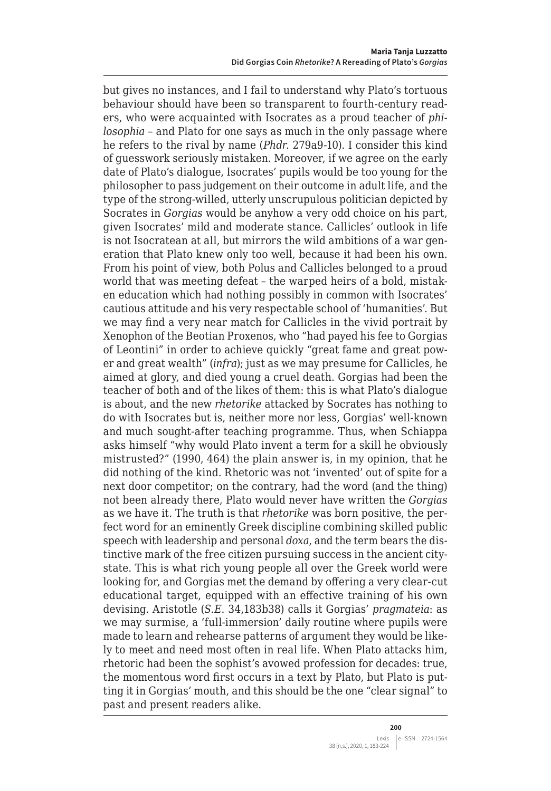but gives no instances, and I fail to understand why Plato's tortuous behaviour should have been so transparent to fourth-century readers, who were acquainted with Isocrates as a proud teacher of *philosophia* – and Plato for one says as much in the only passage where he refers to the rival by name (*Phdr*. 279a9-10). I consider this kind of guesswork seriously mistaken. Moreover, if we agree on the early date of Plato's dialogue, Isocrates' pupils would be too young for the philosopher to pass judgement on their outcome in adult life, and the type of the strong-willed, utterly unscrupulous politician depicted by Socrates in *Gorgias* would be anyhow a very odd choice on his part, given Isocrates' mild and moderate stance. Callicles' outlook in life is not Isocratean at all, but mirrors the wild ambitions of a war generation that Plato knew only too well, because it had been his own. From his point of view, both Polus and Callicles belonged to a proud world that was meeting defeat – the warped heirs of a bold, mistaken education which had nothing possibly in common with Isocrates' cautious attitude and his very respectable school of 'humanities'. But we may find a very near match for Callicles in the vivid portrait by Xenophon of the Beotian Proxenos, who "had payed his fee to Gorgias of Leontini" in order to achieve quickly "great fame and great power and great wealth" (*infra*); just as we may presume for Callicles, he aimed at glory, and died young a cruel death. Gorgias had been the teacher of both and of the likes of them: this is what Plato's dialogue is about, and the new *rhetorike* attacked by Socrates has nothing to do with Isocrates but is, neither more nor less, Gorgias' well-known and much sought-after teaching programme. Thus, when Schiappa asks himself "why would Plato invent a term for a skill he obviously mistrusted?" (1990, 464) the plain answer is, in my opinion, that he did nothing of the kind. Rhetoric was not 'invented' out of spite for a next door competitor; on the contrary, had the word (and the thing) not been already there, Plato would never have written the *Gorgias* as we have it. The truth is that *rhetorike* was born positive, the perfect word for an eminently Greek discipline combining skilled public speech with leadership and personal *doxa*, and the term bears the distinctive mark of the free citizen pursuing success in the ancient citystate. This is what rich young people all over the Greek world were looking for, and Gorgias met the demand by offering a very clear-cut educational target, equipped with an effective training of his own devising. Aristotle (*S.E*. 34,183b38) calls it Gorgias' *pragmateia*: as we may surmise, a 'full-immersion' daily routine where pupils were made to learn and rehearse patterns of argument they would be likely to meet and need most often in real life. When Plato attacks him, rhetoric had been the sophist's avowed profession for decades: true, the momentous word first occurs in a text by Plato, but Plato is putting it in Gorgias' mouth, and this should be the one "clear signal" to past and present readers alike.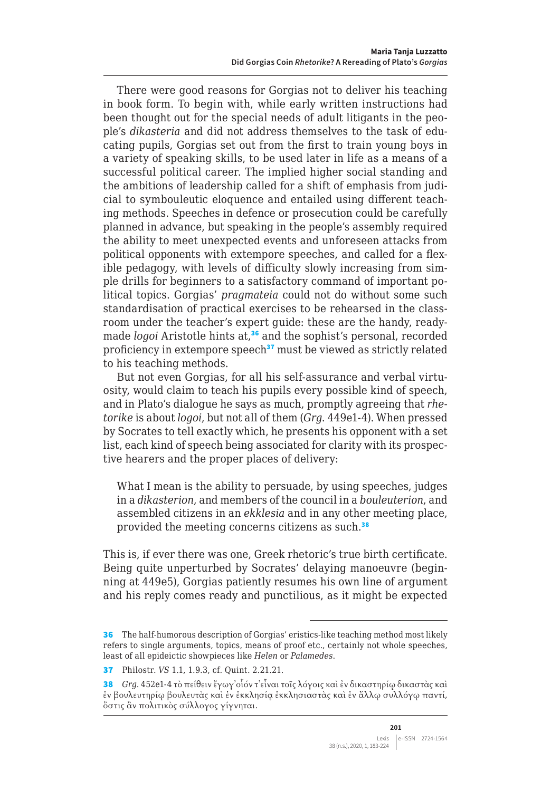There were good reasons for Gorgias not to deliver his teaching in book form. To begin with, while early written instructions had been thought out for the special needs of adult litigants in the people's *dikasteria* and did not address themselves to the task of educating pupils, Gorgias set out from the first to train young boys in a variety of speaking skills, to be used later in life as a means of a successful political career. The implied higher social standing and the ambitions of leadership called for a shift of emphasis from judicial to symbouleutic eloquence and entailed using different teaching methods. Speeches in defence or prosecution could be carefully planned in advance, but speaking in the people's assembly required the ability to meet unexpected events and unforeseen attacks from political opponents with extempore speeches, and called for a flexible pedagogy, with levels of difficulty slowly increasing from simple drills for beginners to a satisfactory command of important political topics. Gorgias' *pragmateia* could not do without some such standardisation of practical exercises to be rehearsed in the classroom under the teacher's expert guide: these are the handy, readymade *logoi* Aristotle hints at,<sup>36</sup> and the sophist's personal, recorded proficiency in extempore speech<sup>37</sup> must be viewed as strictly related to his teaching methods.

But not even Gorgias, for all his self-assurance and verbal virtuosity, would claim to teach his pupils every possible kind of speech, and in Plato's dialogue he says as much, promptly agreeing that *rhetorike* is about *logoi*, but not all of them (*Grg*. 449e1-4). When pressed by Socrates to tell exactly which, he presents his opponent with a set list, each kind of speech being associated for clarity with its prospective hearers and the proper places of delivery:

What I mean is the ability to persuade, by using speeches, judges in a *dikasterion*, and members of the council in a *bouleuterion*, and assembled citizens in an *ekklesia* and in any other meeting place, provided the meeting concerns citizens as such.<sup>38</sup>

This is, if ever there was one, Greek rhetoric's true birth certificate. Being quite unperturbed by Socrates' delaying manoeuvre (beginning at 449e5), Gorgias patiently resumes his own line of argument and his reply comes ready and punctilious, as it might be expected

<sup>36</sup> The half-humorous description of Gorgias' eristics-like teaching method most likely refers to single arguments, topics, means of proof etc., certainly not whole speeches, least of all epideictic showpieces like *Helen* or *Palamedes*.

<sup>37</sup> Philostr. *VS* 1.1, 1.9.3, cf. Quint. 2.21.21.

<sup>38</sup> *Grg*. 452e1-4 τὸ πείθειν ἔγωγ᾽οἷόν τ᾽εἶναι τοῖς λόγοις καὶ ἐν δικαστηρίῳ δικαστὰς καὶ ἐν βουλευτηρίῳ βουλευτὰς καὶ ἐν ἐκκλησίᾳ ἐκκλησιαστὰς καὶ ἐν ἄλλῳ συλλόγῳ παντί, ὅστις ἂν πολιτικὸς σύλλογος γίγνηται.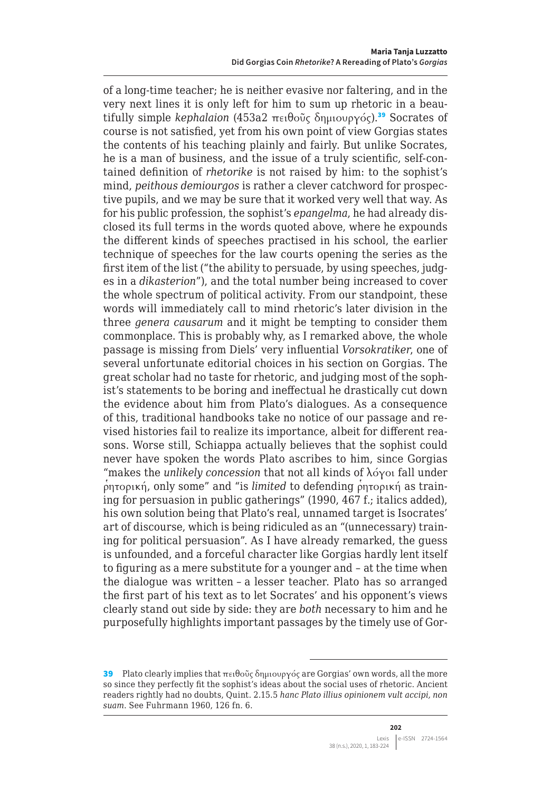of a long-time teacher; he is neither evasive nor faltering, and in the very next lines it is only left for him to sum up rhetoric in a beautifully simple *kephalaion* (453a2 πειθοῦς δημιουργός).<sup>39</sup> Socrates of course is not satisfied, yet from his own point of view Gorgias states the contents of his teaching plainly and fairly. But unlike Socrates, he is a man of business, and the issue of a truly scientific, self-contained definition of *rhetorike* is not raised by him: to the sophist's mind, *peithous demiourgos* is rather a clever catchword for prospective pupils, and we may be sure that it worked very well that way. As for his public profession, the sophist's *epangelma*, he had already disclosed its full terms in the words quoted above, where he expounds the different kinds of speeches practised in his school, the earlier technique of speeches for the law courts opening the series as the first item of the list ("the ability to persuade, by using speeches, judges in a *dikasterion*"), and the total number being increased to cover the whole spectrum of political activity. From our standpoint, these words will immediately call to mind rhetoric's later division in the three *genera causarum* and it might be tempting to consider them commonplace. This is probably why, as I remarked above, the whole passage is missing from Diels' very influential *Vorsokratiker*, one of several unfortunate editorial choices in his section on Gorgias. The great scholar had no taste for rhetoric, and judging most of the sophist's statements to be boring and ineffectual he drastically cut down the evidence about him from Plato's dialogues. As a consequence of this, traditional handbooks take no notice of our passage and revised histories fail to realize its importance, albeit for different reasons. Worse still, Schiappa actually believes that the sophist could never have spoken the words Plato ascribes to him, since Gorgias "makes the *unlikely concession* that not all kinds of λόγοι fall under  $ρ$ <sub>ητορική, only some" and "is *limited* to defending  $ρ$ <sup>*ρ*</sup>ητορική as train-</sub> ing for persuasion in public gatherings" (1990, 467 f.; italics added), his own solution being that Plato's real, unnamed target is Isocrates' art of discourse, which is being ridiculed as an "(unnecessary) training for political persuasion". As I have already remarked, the guess is unfounded, and a forceful character like Gorgias hardly lent itself to figuring as a mere substitute for a younger and – at the time when the dialogue was written – a lesser teacher. Plato has so arranged the first part of his text as to let Socrates' and his opponent's views clearly stand out side by side: they are *both* necessary to him and he purposefully highlights important passages by the timely use of Gor-

<sup>39</sup> Plato clearly implies that πειθοῦς δημιουργός are Gorgias' own words, all the more so since they perfectly fit the sophist's ideas about the social uses of rhetoric. Ancient readers rightly had no doubts, Quint. 2.15.5 *hanc Plato illius opinionem vult accipi, non suam*. See Fuhrmann 1960, 126 fn. 6.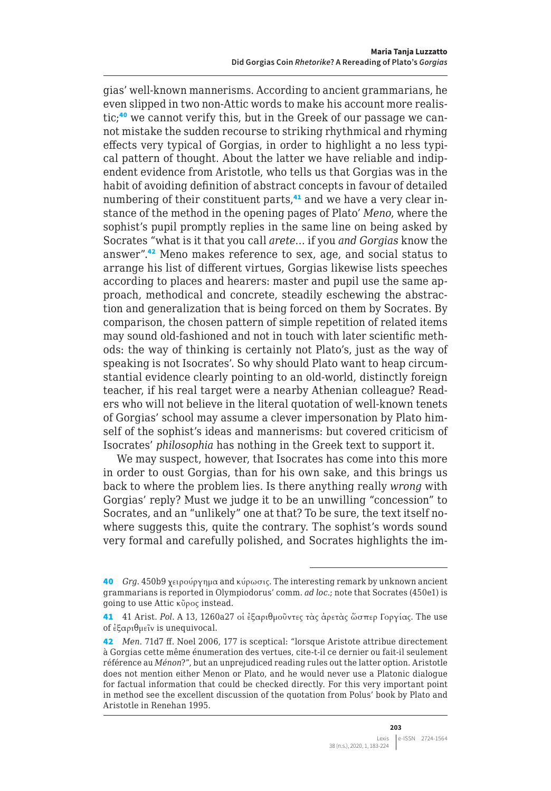gias' well-known mannerisms. According to ancient grammarians, he even slipped in two non-Attic words to make his account more realistic;<sup>40</sup> we cannot verify this, but in the Greek of our passage we cannot mistake the sudden recourse to striking rhythmical and rhyming effects very typical of Gorgias, in order to highlight a no less typical pattern of thought. About the latter we have reliable and indipendent evidence from Aristotle, who tells us that Gorgias was in the habit of avoiding definition of abstract concepts in favour of detailed numbering of their constituent parts,<sup>41</sup> and we have a very clear instance of the method in the opening pages of Plato' *Meno*, where the sophist's pupil promptly replies in the same line on being asked by Socrates "what is it that you call *arete*… if you *and Gorgias* know the answer".<sup>42</sup> Meno makes reference to sex, age, and social status to arrange his list of different virtues, Gorgias likewise lists speeches according to places and hearers: master and pupil use the same approach, methodical and concrete, steadily eschewing the abstraction and generalization that is being forced on them by Socrates. By comparison, the chosen pattern of simple repetition of related items may sound old-fashioned and not in touch with later scientific methods: the way of thinking is certainly not Plato's, just as the way of speaking is not Isocrates'. So why should Plato want to heap circumstantial evidence clearly pointing to an old-world, distinctly foreign teacher, if his real target were a nearby Athenian colleague? Readers who will not believe in the literal quotation of well-known tenets of Gorgias' school may assume a clever impersonation by Plato himself of the sophist's ideas and mannerisms: but covered criticism of Isocrates' *philosophia* has nothing in the Greek text to support it.

We may suspect, however, that Isocrates has come into this more in order to oust Gorgias, than for his own sake, and this brings us back to where the problem lies. Is there anything really *wrong* with Gorgias' reply? Must we judge it to be an unwilling "concession" to Socrates, and an "unlikely" one at that? To be sure, the text itself nowhere suggests this, quite the contrary. The sophist's words sound very formal and carefully polished, and Socrates highlights the im-

<sup>40</sup> *Grg*. 450b9 χειρούργημα and κύρωσις. The interesting remark by unknown ancient grammarians is reported in Olympiodorus' comm. *ad loc*.; note that Socrates (450e1) is going to use Attic κῦρος instead.

<sup>41</sup> 41 Arist. *Pol*. A 13, 1260a27 οἱ ἐξαριθμοῦντες τὰς ἀρετὰς ὥσπερ Γοργίας. The use of ἐξαριθμεῖν is unequivocal.

<sup>42</sup> *Men*. 71d7 ff. Noel 2006, 177 is sceptical: "lorsque Aristote attribue directement à Gorgias cette même énumeration des vertues, cite-t-il ce dernier ou fait-il seulement référence au *Ménon*?", but an unprejudiced reading rules out the latter option. Aristotle does not mention either Menon or Plato, and he would never use a Platonic dialogue for factual information that could be checked directly. For this very important point in method see the excellent discussion of the quotation from Polus' book by Plato and Aristotle in Renehan 1995.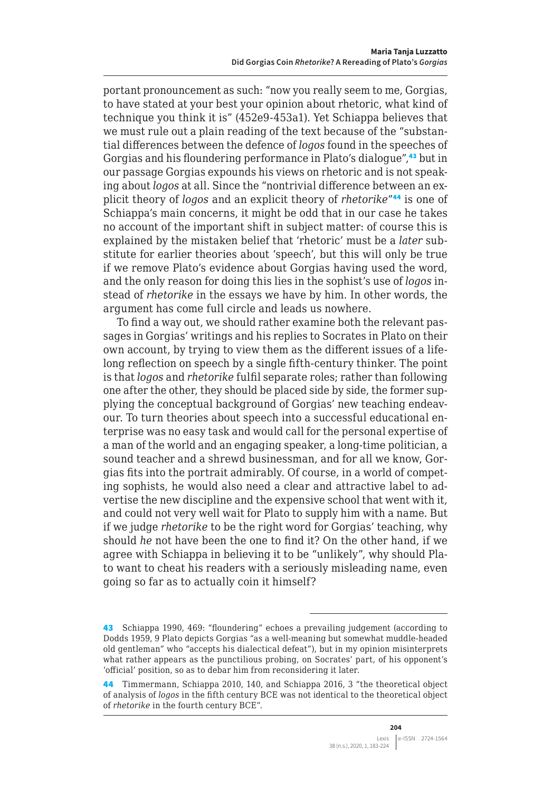portant pronouncement as such: "now you really seem to me, Gorgias, to have stated at your best your opinion about rhetoric, what kind of technique you think it is" (452e9-453a1). Yet Schiappa believes that we must rule out a plain reading of the text because of the "substantial differences between the defence of *logos* found in the speeches of Gorgias and his floundering performance in Plato's dialogue",<sup>43</sup> but in our passage Gorgias expounds his views on rhetoric and is not speaking about *logos* at all. Since the "nontrivial difference between an explicit theory of *logos* and an explicit theory of *rhetorike*"<sup>44</sup> is one of Schiappa's main concerns, it might be odd that in our case he takes no account of the important shift in subject matter: of course this is explained by the mistaken belief that 'rhetoric' must be a *later* substitute for earlier theories about 'speech', but this will only be true if we remove Plato's evidence about Gorgias having used the word, and the only reason for doing this lies in the sophist's use of *logos* instead of *rhetorike* in the essays we have by him. In other words, the argument has come full circle and leads us nowhere.

To find a way out, we should rather examine both the relevant passages in Gorgias' writings and his replies to Socrates in Plato on their own account, by trying to view them as the different issues of a lifelong reflection on speech by a single fifth-century thinker. The point is that *logos* and *rhetorike* fulfil separate roles; rather than following one after the other, they should be placed side by side, the former supplying the conceptual background of Gorgias' new teaching endeavour. To turn theories about speech into a successful educational enterprise was no easy task and would call for the personal expertise of a man of the world and an engaging speaker, a long-time politician, a sound teacher and a shrewd businessman, and for all we know, Gorgias fits into the portrait admirably. Of course, in a world of competing sophists, he would also need a clear and attractive label to advertise the new discipline and the expensive school that went with it, and could not very well wait for Plato to supply him with a name. But if we judge *rhetorike* to be the right word for Gorgias' teaching, why should *he* not have been the one to find it? On the other hand, if we agree with Schiappa in believing it to be "unlikely", why should Plato want to cheat his readers with a seriously misleading name, even going so far as to actually coin it himself?

<sup>43</sup> Schiappa 1990, 469: "floundering" echoes a prevailing judgement (according to Dodds 1959, 9 Plato depicts Gorgias "as a well-meaning but somewhat muddle-headed old gentleman" who "accepts his dialectical defeat"), but in my opinion misinterprets what rather appears as the punctilious probing, on Socrates' part, of his opponent's 'official' position, so as to debar him from reconsidering it later.

<sup>44</sup> Timmermann, Schiappa 2010, 140, and Schiappa 2016, 3 "the theoretical object of analysis of *logos* in the fifth century BCE was not identical to the theoretical object of *rhetorike* in the fourth century BCE".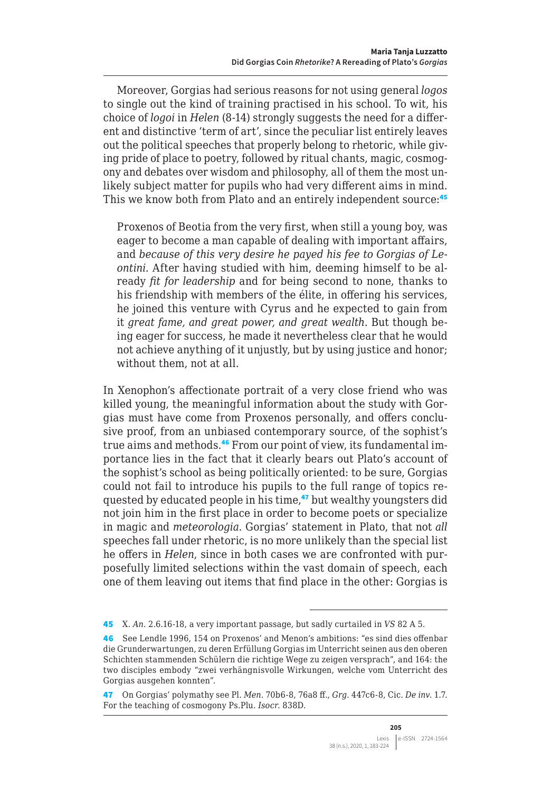Moreover, Gorgias had serious reasons for not using general *logos* to single out the kind of training practised in his school. To wit, his choice of *logoi* in *Helen* (8-14) strongly suggests the need for a different and distinctive 'term of art', since the peculiar list entirely leaves out the political speeches that properly belong to rhetoric, while giving pride of place to poetry, followed by ritual chants, magic, cosmogony and debates over wisdom and philosophy, all of them the most unlikely subject matter for pupils who had very different aims in mind. This we know both from Plato and an entirely independent source:<sup>45</sup>

Proxenos of Beotia from the very first, when still a young boy, was eager to become a man capable of dealing with important affairs, and *because of this very desire he payed his fee to Gorgias of Leontini*. After having studied with him, deeming himself to be already *fit for leadership* and for being second to none, thanks to his friendship with members of the élite, in offering his services, he joined this venture with Cyrus and he expected to gain from it *great fame, and great power, and great wealth*. But though being eager for success, he made it nevertheless clear that he would not achieve anything of it unjustly, but by using justice and honor; without them, not at all.

In Xenophon's affectionate portrait of a very close friend who was killed young, the meaningful information about the study with Gorgias must have come from Proxenos personally, and offers conclusive proof, from an unbiased contemporary source, of the sophist's true aims and methods.46 From our point of view, its fundamental importance lies in the fact that it clearly bears out Plato's account of the sophist's school as being politically oriented: to be sure, Gorgias could not fail to introduce his pupils to the full range of topics requested by educated people in his time,<sup>47</sup> but wealthy youngsters did not join him in the first place in order to become poets or specialize in magic and *meteorologia*. Gorgias' statement in Plato, that not *all* speeches fall under rhetoric, is no more unlikely than the special list he offers in *Helen*, since in both cases we are confronted with purposefully limited selections within the vast domain of speech, each one of them leaving out items that find place in the other: Gorgias is

<sup>45</sup> X. *An*. 2.6.16-18, a very important passage, but sadly curtailed in *VS* 82 A 5.

<sup>46</sup> See Lendle 1996, 154 on Proxenos' and Menon's ambitions: "es sind dies offenbar die Grunderwartungen, zu deren Erfüllung Gorgias im Unterricht seinen aus den oberen Schichten stammenden Schülern die richtige Wege zu zeigen versprach", and 164: the two disciples embody "zwei verhängnisvolle Wirkungen, welche vom Unterricht des Gorgias ausgehen konnten".

<sup>47</sup> On Gorgias' polymathy see Pl. *Men*. 70b6-8, 76a8 ff., *Grg*. 447c6-8, Cic. *De inv*. 1.7. For the teaching of cosmogony Ps.Plu. *Isocr*. 838D.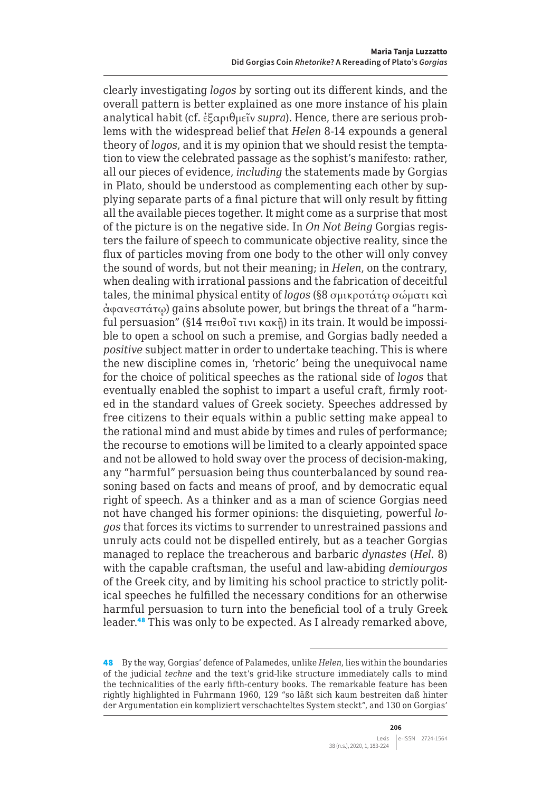clearly investigating *logos* by sorting out its different kinds, and the overall pattern is better explained as one more instance of his plain analytical habit (cf. ἐξαριθμεῖν *supra*). Hence, there are serious problems with the widespread belief that *Helen* 8-14 expounds a general theory of *logos*, and it is my opinion that we should resist the temptation to view the celebrated passage as the sophist's manifesto: rather, all our pieces of evidence, *including* the statements made by Gorgias in Plato, should be understood as complementing each other by supplying separate parts of a final picture that will only result by fitting all the available pieces together. It might come as a surprise that most of the picture is on the negative side. In *On Not Being* Gorgias registers the failure of speech to communicate objective reality, since the flux of particles moving from one body to the other will only convey the sound of words, but not their meaning; in *Helen*, on the contrary, when dealing with irrational passions and the fabrication of deceitful tales, the minimal physical entity of *logos* (§8 σμικροτάτῳ σώματι καὶ ἀφανεστάτῳ) gains absolute power, but brings the threat of a "harmful persuasion" (§14 πειθοῖ τινι κακῇ) in its train. It would be impossible to open a school on such a premise, and Gorgias badly needed a *positive* subject matter in order to undertake teaching. This is where the new discipline comes in, 'rhetoric' being the unequivocal name for the choice of political speeches as the rational side of *logos* that eventually enabled the sophist to impart a useful craft, firmly rooted in the standard values of Greek society. Speeches addressed by free citizens to their equals within a public setting make appeal to the rational mind and must abide by times and rules of performance; the recourse to emotions will be limited to a clearly appointed space and not be allowed to hold sway over the process of decision-making, any "harmful" persuasion being thus counterbalanced by sound reasoning based on facts and means of proof, and by democratic equal right of speech. As a thinker and as a man of science Gorgias need not have changed his former opinions: the disquieting, powerful *logos* that forces its victims to surrender to unrestrained passions and unruly acts could not be dispelled entirely, but as a teacher Gorgias managed to replace the treacherous and barbaric *dynastes* (*Hel*. 8) with the capable craftsman, the useful and law-abiding *demiourgos* of the Greek city, and by limiting his school practice to strictly political speeches he fulfilled the necessary conditions for an otherwise harmful persuasion to turn into the beneficial tool of a truly Greek leader.<sup>48</sup> This was only to be expected. As I already remarked above,

<sup>48</sup> By the way, Gorgias' defence of Palamedes, unlike *Helen*, lies within the boundaries of the judicial *techne* and the text's grid-like structure immediately calls to mind the technicalities of the early fifth-century books. The remarkable feature has been rightly highlighted in Fuhrmann 1960, 129 "so läßt sich kaum bestreiten daß hinter der Argumentation ein kompliziert verschachteltes System steckt", and 130 on Gorgias'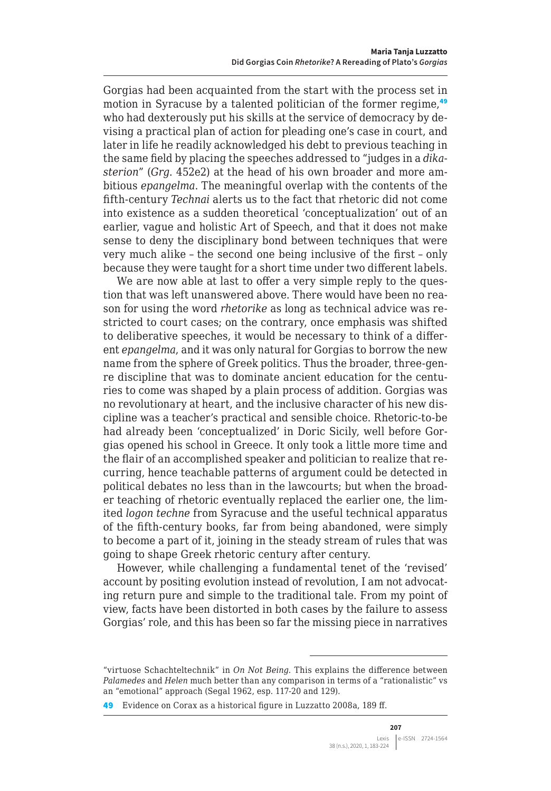Gorgias had been acquainted from the start with the process set in motion in Syracuse by a talented politician of the former regime,<sup>49</sup> who had dexterously put his skills at the service of democracy by devising a practical plan of action for pleading one's case in court, and later in life he readily acknowledged his debt to previous teaching in the same field by placing the speeches addressed to "judges in a *dikasterion*" (*Grg*. 452e2) at the head of his own broader and more ambitious *epangelma*. The meaningful overlap with the contents of the fifth-century *Technai* alerts us to the fact that rhetoric did not come into existence as a sudden theoretical 'conceptualization' out of an earlier, vague and holistic Art of Speech, and that it does not make sense to deny the disciplinary bond between techniques that were very much alike – the second one being inclusive of the first – only because they were taught for a short time under two different labels.

We are now able at last to offer a very simple reply to the question that was left unanswered above. There would have been no reason for using the word *rhetorike* as long as technical advice was restricted to court cases; on the contrary, once emphasis was shifted to deliberative speeches, it would be necessary to think of a different *epangelma*, and it was only natural for Gorgias to borrow the new name from the sphere of Greek politics. Thus the broader, three-genre discipline that was to dominate ancient education for the centuries to come was shaped by a plain process of addition. Gorgias was no revolutionary at heart, and the inclusive character of his new discipline was a teacher's practical and sensible choice. Rhetoric-to-be had already been 'conceptualized' in Doric Sicily, well before Gorgias opened his school in Greece. It only took a little more time and the flair of an accomplished speaker and politician to realize that recurring, hence teachable patterns of argument could be detected in political debates no less than in the lawcourts; but when the broader teaching of rhetoric eventually replaced the earlier one, the limited *logon techne* from Syracuse and the useful technical apparatus of the fifth-century books, far from being abandoned, were simply to become a part of it, joining in the steady stream of rules that was going to shape Greek rhetoric century after century.

However, while challenging a fundamental tenet of the 'revised' account by positing evolution instead of revolution, I am not advocating return pure and simple to the traditional tale. From my point of view, facts have been distorted in both cases by the failure to assess Gorgias' role, and this has been so far the missing piece in narratives

<sup>&</sup>quot;virtuose Schachteltechnik" in *On Not Being*. This explains the difference between *Palamedes* and *Helen* much better than any comparison in terms of a "rationalistic" vs an "emotional" approach (Segal 1962, esp. 117-20 and 129).

<sup>49</sup> Evidence on Corax as a historical figure in Luzzatto 2008a, 189 ff.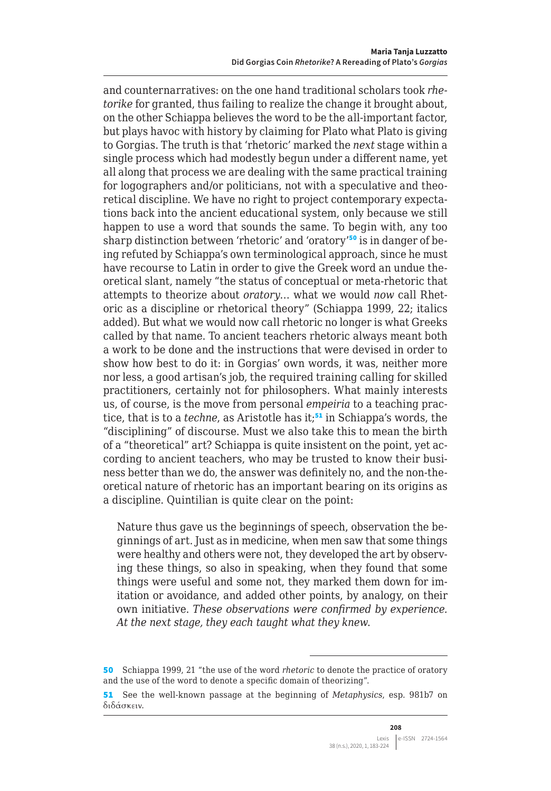and counternarratives: on the one hand traditional scholars took *rhetorike* for granted, thus failing to realize the change it brought about, on the other Schiappa believes the word to be the all-important factor, but plays havoc with history by claiming for Plato what Plato is giving to Gorgias. The truth is that 'rhetoric' marked the *next* stage within a single process which had modestly begun under a different name, yet all along that process we are dealing with the same practical training for logographers and/or politicians, not with a speculative and theoretical discipline. We have no right to project contemporary expectations back into the ancient educational system, only because we still happen to use a word that sounds the same. To begin with, any too sharp distinction between 'rhetoric' and 'oratory'50 is in danger of being refuted by Schiappa's own terminological approach, since he must have recourse to Latin in order to give the Greek word an undue theoretical slant, namely "the status of conceptual or meta-rhetoric that attempts to theorize about *oratory*… what we would *now* call Rhetoric as a discipline or rhetorical theory" (Schiappa 1999, 22; italics added). But what we would now call rhetoric no longer is what Greeks called by that name. To ancient teachers rhetoric always meant both a work to be done and the instructions that were devised in order to show how best to do it: in Gorgias' own words, it was, neither more nor less, a good artisan's job, the required training calling for skilled practitioners, certainly not for philosophers. What mainly interests us, of course, is the move from personal *empeiria* to a teaching practice, that is to a *techne*, as Aristotle has it;<sup>51</sup> in Schiappa's words, the "disciplining" of discourse. Must we also take this to mean the birth of a "theoretical" art? Schiappa is quite insistent on the point, yet according to ancient teachers, who may be trusted to know their business better than we do, the answer was definitely no, and the non-theoretical nature of rhetoric has an important bearing on its origins as a discipline. Quintilian is quite clear on the point:

Nature thus gave us the beginnings of speech, observation the beginnings of art. Just as in medicine, when men saw that some things were healthy and others were not, they developed the art by observing these things, so also in speaking, when they found that some things were useful and some not, they marked them down for imitation or avoidance, and added other points, by analogy, on their own initiative. *These observations were confirmed by experience. At the next stage, they each taught what they knew*.

<sup>50</sup> Schiappa 1999, 21 "the use of the word *rhetoric* to denote the practice of oratory and the use of the word to denote a specific domain of theorizing".

<sup>51</sup> See the well-known passage at the beginning of *Metaphysics*, esp. 981b7 on διδάσκειν.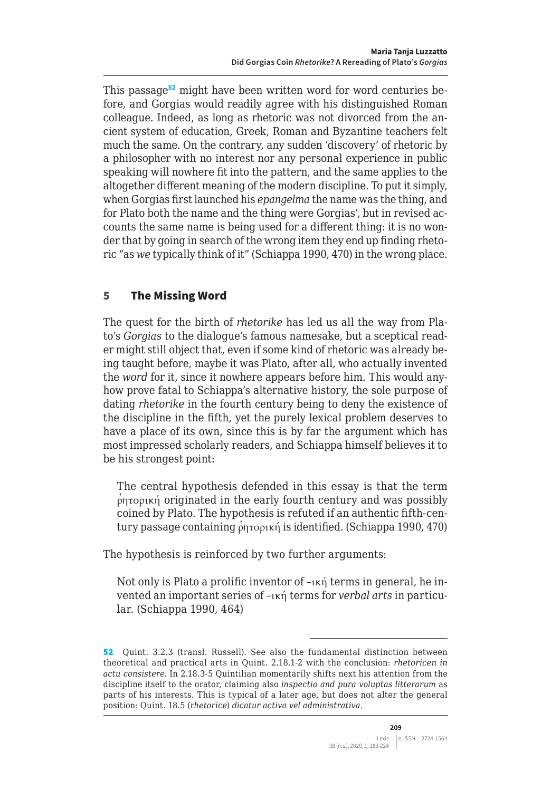This passage<sup>52</sup> might have been written word for word centuries before, and Gorgias would readily agree with his distinguished Roman colleague. Indeed, as long as rhetoric was not divorced from the ancient system of education, Greek, Roman and Byzantine teachers felt much the same. On the contrary, any sudden 'discovery' of rhetoric by a philosopher with no interest nor any personal experience in public speaking will nowhere fit into the pattern, and the same applies to the altogether different meaning of the modern discipline. To put it simply, when Gorgias first launched his *epangelma* the name was the thing, and for Plato both the name and the thing were Gorgias', but in revised accounts the same name is being used for a different thing: it is no wonder that by going in search of the wrong item they end up finding rhetoric "as *we* typically think of it" (Schiappa 1990, 470) in the wrong place.

# 5 The Missing Word

The quest for the birth of *rhetorike* has led us all the way from Plato's *Gorgias* to the dialogue's famous namesake, but a sceptical reader might still object that, even if some kind of rhetoric was already being taught before, maybe it was Plato, after all, who actually invented the *word* for it, since it nowhere appears before him. This would anyhow prove fatal to Schiappa's alternative history, the sole purpose of dating *rhetorike* in the fourth century being to deny the existence of the discipline in the fifth, yet the purely lexical problem deserves to have a place of its own, since this is by far the argument which has most impressed scholarly readers, and Schiappa himself believes it to be his strongest point:

The central hypothesis defended in this essay is that the term  $\phi$ ητορική originated in the early fourth century and was possibly coined by Plato. The hypothesis is refuted if an authentic fifth-century passage containing ρητορική is identified. (Schiappa 1990, 470)

The hypothesis is reinforced by two further arguments:

Not only is Plato a prolific inventor of –ική terms in general, he invented an important series of –ική terms for *verbal arts* in particular. (Schiappa 1990, 464)

<sup>52</sup> Quint. 3.2.3 (transl. Russell). See also the fundamental distinction between theoretical and practical arts in Quint. 2.18.1-2 with the conclusion: *rhetoricen in actu consistere*. In 2.18.3-5 Quintilian momentarily shifts next his attention from the discipline itself to the orator, claiming also *inspectio and pura voluptas litterarum* as parts of his interests. This is typical of a later age, but does not alter the general position: Quint. 18.5 (*rhetorice*) *dicatur activa vel administrativa*.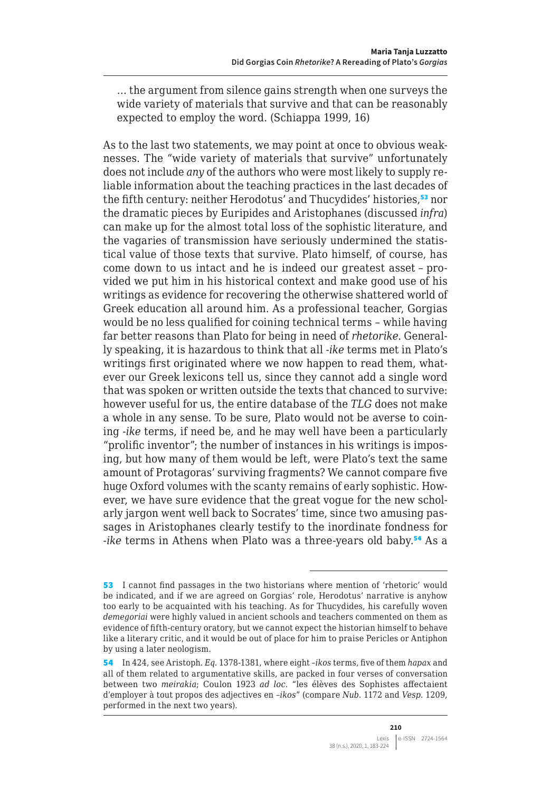… the argument from silence gains strength when one surveys the wide variety of materials that survive and that can be reasonably expected to employ the word. (Schiappa 1999, 16)

As to the last two statements, we may point at once to obvious weaknesses. The "wide variety of materials that survive" unfortunately does not include *any* of the authors who were most likely to supply reliable information about the teaching practices in the last decades of the fifth century: neither Herodotus' and Thucydides' histories,<sup>53</sup> nor the dramatic pieces by Euripides and Aristophanes (discussed *infra*) can make up for the almost total loss of the sophistic literature, and the vagaries of transmission have seriously undermined the statistical value of those texts that survive. Plato himself, of course, has come down to us intact and he is indeed our greatest asset – provided we put him in his historical context and make good use of his writings as evidence for recovering the otherwise shattered world of Greek education all around him. As a professional teacher, Gorgias would be no less qualified for coining technical terms – while having far better reasons than Plato for being in need of *rhetorike*. Generally speaking, it is hazardous to think that all -*ike* terms met in Plato's writings first originated where we now happen to read them, whatever our Greek lexicons tell us, since they cannot add a single word that was spoken or written outside the texts that chanced to survive: however useful for us, the entire database of the *TLG* does not make a whole in any sense. To be sure, Plato would not be averse to coining -*ike* terms, if need be, and he may well have been a particularly "prolific inventor"; the number of instances in his writings is imposing, but how many of them would be left, were Plato's text the same amount of Protagoras' surviving fragments? We cannot compare five huge Oxford volumes with the scanty remains of early sophistic. However, we have sure evidence that the great vogue for the new scholarly jargon went well back to Socrates' time, since two amusing passages in Aristophanes clearly testify to the inordinate fondness for -*ike* terms in Athens when Plato was a three-years old baby.<sup>54</sup> As a

<sup>53</sup> I cannot find passages in the two historians where mention of 'rhetoric' would be indicated, and if we are agreed on Gorgias' role, Herodotus' narrative is anyhow too early to be acquainted with his teaching. As for Thucydides, his carefully woven *demegoriai* were highly valued in ancient schools and teachers commented on them as evidence of fifth-century oratory, but we cannot expect the historian himself to behave like a literary critic, and it would be out of place for him to praise Pericles or Antiphon by using a later neologism.

<sup>54</sup> In 424, see Aristoph. *Eq.* 1378-1381, where eight –*ikos* terms, five of them *hapax* and all of them related to argumentative skills, are packed in four verses of conversation between two *meirakia*; Coulon 1923 *ad loc*. "les élèves des Sophistes affectaient d'employer à tout propos des adjectives en –*ikos*" (compare *Nub.* 1172 and *Vesp.* 1209, performed in the next two years).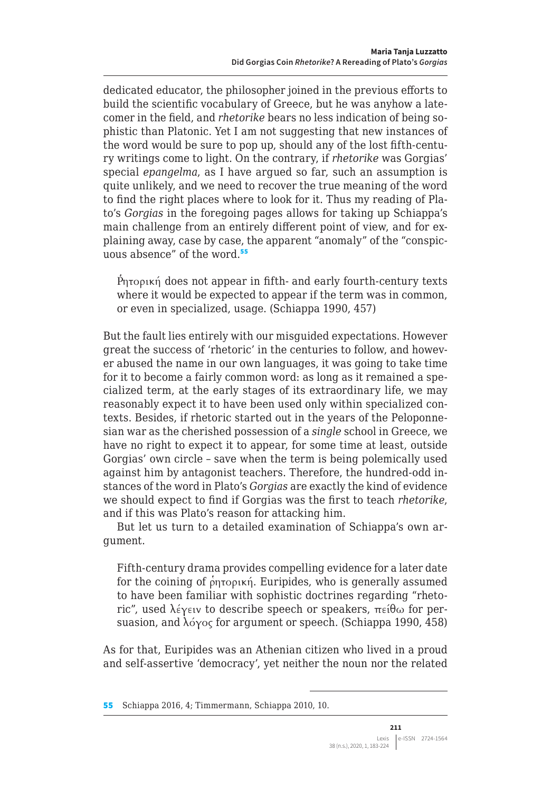dedicated educator, the philosopher joined in the previous efforts to build the scientific vocabulary of Greece, but he was anyhow a latecomer in the field, and *rhetorike* bears no less indication of being sophistic than Platonic. Yet I am not suggesting that new instances of the word would be sure to pop up, should any of the lost fifth-century writings come to light. On the contrary, if *rhetorike* was Gorgias' special *epangelma*, as I have argued so far, such an assumption is quite unlikely, and we need to recover the true meaning of the word to find the right places where to look for it. Thus my reading of Plato's *Gorgias* in the foregoing pages allows for taking up Schiappa's main challenge from an entirely different point of view, and for explaining away, case by case, the apparent "anomaly" of the "conspicuous absence" of the word.<sup>55</sup>

Pητορική does not appear in fifth- and early fourth-century texts where it would be expected to appear if the term was in common, or even in specialized, usage. (Schiappa 1990, 457)

But the fault lies entirely with our misguided expectations. However great the success of 'rhetoric' in the centuries to follow, and however abused the name in our own languages, it was going to take time for it to become a fairly common word: as long as it remained a specialized term, at the early stages of its extraordinary life, we may reasonably expect it to have been used only within specialized contexts. Besides, if rhetoric started out in the years of the Peloponnesian war as the cherished possession of a *single* school in Greece, we have no right to expect it to appear, for some time at least, outside Gorgias' own circle – save when the term is being polemically used against him by antagonist teachers. Therefore, the hundred-odd instances of the word in Plato's *Gorgias* are exactly the kind of evidence we should expect to find if Gorgias was the first to teach *rhetorike*, and if this was Plato's reason for attacking him.

But let us turn to a detailed examination of Schiappa's own argument.

Fifth-century drama provides compelling evidence for a later date for the coining of ρητορική. Euripides, who is generally assumed to have been familiar with sophistic doctrines regarding "rhetoric", used λέγειν to describe speech or speakers, πείθω for persuasion, and λόγος for argument or speech. (Schiappa 1990, 458)

As for that, Euripides was an Athenian citizen who lived in a proud and self-assertive 'democracy', yet neither the noun nor the related

<sup>55</sup> Schiappa 2016, 4; Timmermann, Schiappa 2010, 10.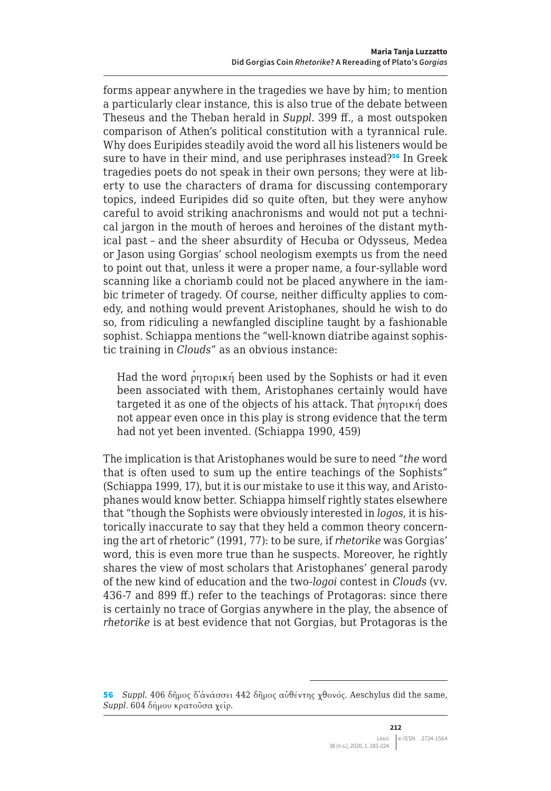forms appear anywhere in the tragedies we have by him; to mention a particularly clear instance, this is also true of the debate between Theseus and the Theban herald in *Suppl*. 399 ff., a most outspoken comparison of Athen's political constitution with a tyrannical rule. Why does Euripides steadily avoid the word all his listeners would be sure to have in their mind, and use periphrases instead?<sup>56</sup> In Greek tragedies poets do not speak in their own persons; they were at liberty to use the characters of drama for discussing contemporary topics, indeed Euripides did so quite often, but they were anyhow careful to avoid striking anachronisms and would not put a technical jargon in the mouth of heroes and heroines of the distant mythical past – and the sheer absurdity of Hecuba or Odysseus, Medea or Jason using Gorgias' school neologism exempts us from the need to point out that, unless it were a proper name, a four-syllable word scanning like a choriamb could not be placed anywhere in the iambic trimeter of tragedy. Of course, neither difficulty applies to comedy, and nothing would prevent Aristophanes, should he wish to do so, from ridiculing a newfangled discipline taught by a fashionable sophist. Schiappa mentions the "well-known diatribe against sophistic training in *Clouds*" as an obvious instance:

Had the word ρητορική been used by the Sophists or had it even been associated with them, Aristophanes certainly would have targeted it as one of the objects of his attack. That ρητορική does not appear even once in this play is strong evidence that the term had not yet been invented. (Schiappa 1990, 459)

The implication is that Aristophanes would be sure to need "*the* word that is often used to sum up the entire teachings of the Sophists" (Schiappa 1999, 17), but it is our mistake to use it this way, and Aristophanes would know better. Schiappa himself rightly states elsewhere that "though the Sophists were obviously interested in *logos*, it is historically inaccurate to say that they held a common theory concerning the art of rhetoric" (1991, 77): to be sure, if *rhetorike* was Gorgias' word, this is even more true than he suspects. Moreover, he rightly shares the view of most scholars that Aristophanes' general parody of the new kind of education and the two-*logoi* contest in *Clouds* (vv. 436-7 and 899 ff.) refer to the teachings of Protagoras: since there is certainly no trace of Gorgias anywhere in the play, the absence of *rhetorike* is at best evidence that not Gorgias, but Protagoras is the

<sup>56</sup> *Suppl*. 406 δῆμος δ᾽ἀνάσσει 442 δῆμος αὐθέντης χθονός. Aeschylus did the same, *Suppl*. 604 δήμου κρατοῦσα χείρ.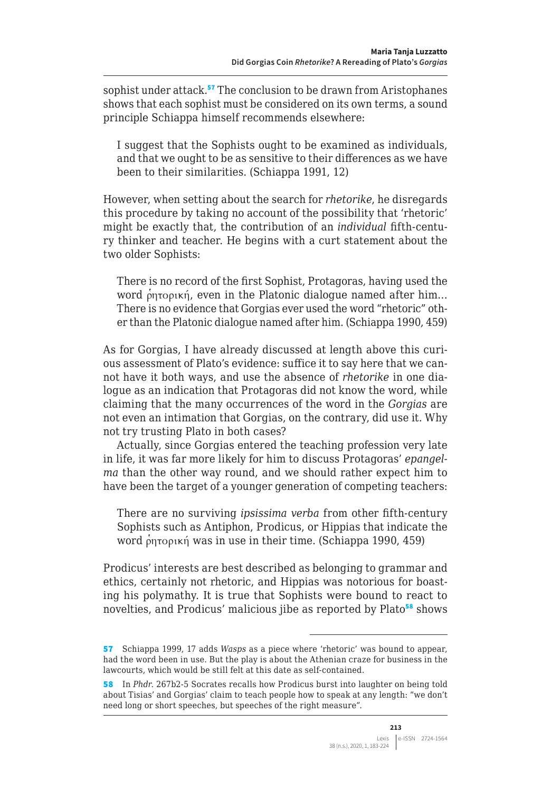sophist under attack.<sup>57</sup> The conclusion to be drawn from Aristophanes shows that each sophist must be considered on its own terms, a sound principle Schiappa himself recommends elsewhere:

I suggest that the Sophists ought to be examined as individuals, and that we ought to be as sensitive to their differences as we have been to their similarities. (Schiappa 1991, 12)

However, when setting about the search for *rhetorike*, he disregards this procedure by taking no account of the possibility that 'rhetoric' might be exactly that, the contribution of an *individual* fifth-century thinker and teacher. He begins with a curt statement about the two older Sophists:

There is no record of the first Sophist, Protagoras, having used the word ρητορική, even in the Platonic dialogue named after him... There is no evidence that Gorgias ever used the word "rhetoric" other than the Platonic dialogue named after him. (Schiappa 1990, 459)

As for Gorgias, I have already discussed at length above this curious assessment of Plato's evidence: suffice it to say here that we cannot have it both ways, and use the absence of *rhetorike* in one dialogue as an indication that Protagoras did not know the word, while claiming that the many occurrences of the word in the *Gorgias* are not even an intimation that Gorgias, on the contrary, did use it. Why not try trusting Plato in both cases?

Actually, since Gorgias entered the teaching profession very late in life, it was far more likely for him to discuss Protagoras' *epangelma* than the other way round, and we should rather expect him to have been the target of a younger generation of competing teachers:

There are no surviving *ipsissima verba* from other fifth-century Sophists such as Antiphon, Prodicus, or Hippias that indicate the word ρητορική was in use in their time. (Schiappa 1990, 459)

Prodicus' interests are best described as belonging to grammar and ethics, certainly not rhetoric, and Hippias was notorious for boasting his polymathy. It is true that Sophists were bound to react to novelties, and Prodicus' malicious jibe as reported by Plato<sup>58</sup> shows

<sup>57</sup> Schiappa 1999, 17 adds *Wasps* as a piece where 'rhetoric' was bound to appear, had the word been in use. But the play is about the Athenian craze for business in the lawcourts, which would be still felt at this date as self-contained.

<sup>58</sup> In *Phdr*. 267b2-5 Socrates recalls how Prodicus burst into laughter on being told about Tisias' and Gorgias' claim to teach people how to speak at any length: "we don't need long or short speeches, but speeches of the right measure".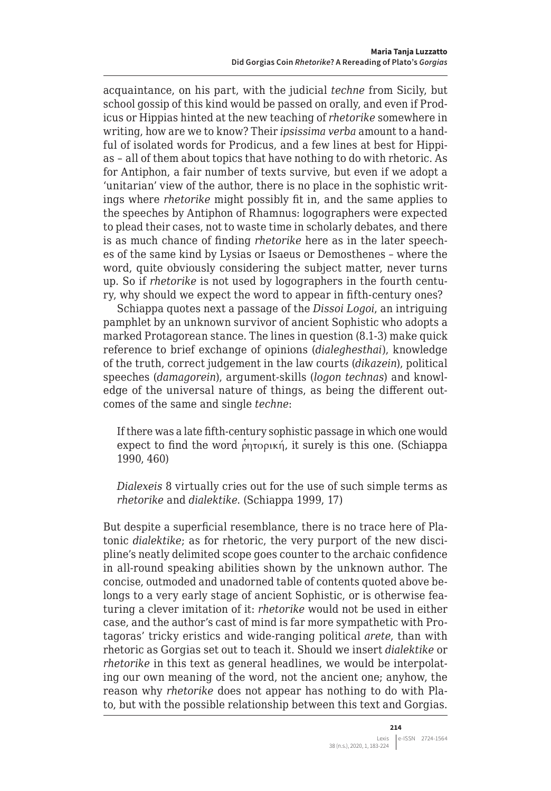acquaintance, on his part, with the judicial *techne* from Sicily, but school gossip of this kind would be passed on orally, and even if Prodicus or Hippias hinted at the new teaching of *rhetorike* somewhere in writing, how are we to know? Their *ipsissima verba* amount to a handful of isolated words for Prodicus, and a few lines at best for Hippias – all of them about topics that have nothing to do with rhetoric. As for Antiphon, a fair number of texts survive, but even if we adopt a 'unitarian' view of the author, there is no place in the sophistic writings where *rhetorike* might possibly fit in, and the same applies to the speeches by Antiphon of Rhamnus: logographers were expected to plead their cases, not to waste time in scholarly debates, and there is as much chance of finding *rhetorike* here as in the later speeches of the same kind by Lysias or Isaeus or Demosthenes – where the word, quite obviously considering the subject matter, never turns up. So if *rhetorike* is not used by logographers in the fourth century, why should we expect the word to appear in fifth-century ones?

Schiappa quotes next a passage of the *Dissoi Logoi*, an intriguing pamphlet by an unknown survivor of ancient Sophistic who adopts a marked Protagorean stance. The lines in question (8.1-3) make quick reference to brief exchange of opinions (*dialeghesthai*), knowledge of the truth, correct judgement in the law courts (*dikazein*), political speeches (*damagorein*), argument-skills (*logon technas*) and knowledge of the universal nature of things, as being the different outcomes of the same and single *techne*:

If there was a late fifth-century sophistic passage in which one would expect to find the word  $\rho_{\text{0}}$ <sub>p</sub>  $\rho_{\text{0}}$ , it surely is this one. (Schiappa 1990, 460)

*Dialexeis* 8 virtually cries out for the use of such simple terms as *rhetorike* and *dialektike*. (Schiappa 1999, 17)

But despite a superficial resemblance, there is no trace here of Platonic *dialektike*; as for rhetoric, the very purport of the new discipline's neatly delimited scope goes counter to the archaic confidence in all-round speaking abilities shown by the unknown author. The concise, outmoded and unadorned table of contents quoted above belongs to a very early stage of ancient Sophistic, or is otherwise featuring a clever imitation of it: *rhetorike* would not be used in either case, and the author's cast of mind is far more sympathetic with Protagoras' tricky eristics and wide-ranging political *arete*, than with rhetoric as Gorgias set out to teach it. Should we insert *dialektike* or *rhetorike* in this text as general headlines, we would be interpolating our own meaning of the word, not the ancient one; anyhow, the reason why *rhetorike* does not appear has nothing to do with Plato, but with the possible relationship between this text and Gorgias.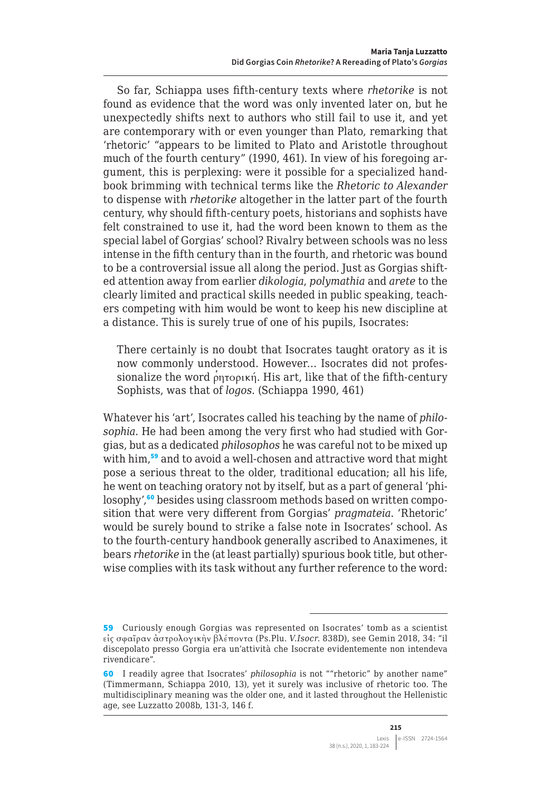So far, Schiappa uses fifth-century texts where *rhetorike* is not found as evidence that the word was only invented later on, but he unexpectedly shifts next to authors who still fail to use it, and yet are contemporary with or even younger than Plato, remarking that 'rhetoric' "appears to be limited to Plato and Aristotle throughout much of the fourth century" (1990, 461). In view of his foregoing argument, this is perplexing: were it possible for a specialized handbook brimming with technical terms like the *Rhetoric to Alexander* to dispense with *rhetorike* altogether in the latter part of the fourth century, why should fifth-century poets, historians and sophists have felt constrained to use it, had the word been known to them as the special label of Gorgias' school? Rivalry between schools was no less intense in the fifth century than in the fourth, and rhetoric was bound to be a controversial issue all along the period. Just as Gorgias shifted attention away from earlier *dikologia*, *polymathia* and *arete* to the clearly limited and practical skills needed in public speaking, teachers competing with him would be wont to keep his new discipline at a distance. This is surely true of one of his pupils, Isocrates:

There certainly is no doubt that Isocrates taught oratory as it is now commonly understood. However… Isocrates did not professionalize the word ρητορική. His art, like that of the fifth-century Sophists, was that of *logos*. (Schiappa 1990, 461)

Whatever his 'art', Isocrates called his teaching by the name of *philosophia*. He had been among the very first who had studied with Gorgias, but as a dedicated *philosophos* he was careful not to be mixed up with him,<sup>59</sup> and to avoid a well-chosen and attractive word that might pose a serious threat to the older, traditional education; all his life, he went on teaching oratory not by itself, but as a part of general 'philosophy',<sup>60</sup> besides using classroom methods based on written composition that were very different from Gorgias' *pragmateia*. 'Rhetoric' would be surely bound to strike a false note in Isocrates' school. As to the fourth-century handbook generally ascribed to Anaximenes, it bears *rhetorike* in the (at least partially) spurious book title, but otherwise complies with its task without any further reference to the word:

<sup>59</sup> Curiously enough Gorgias was represented on Isocrates' tomb as a scientist εἰς σφαῖραν ἀστρολογικὴν βλέποντα (Ps.Plu. *V.Isocr*. 838D), see Gemin 2018, 34: "il discepolato presso Gorgia era un'attività che Isocrate evidentemente non intendeva rivendicare".

<sup>60</sup> I readily agree that Isocrates' *philosophia* is not ""rhetoric" by another name" (Timmermann, Schiappa 2010, 13), yet it surely was inclusive of rhetoric too. The multidisciplinary meaning was the older one, and it lasted throughout the Hellenistic age, see Luzzatto 2008b, 131-3, 146 f.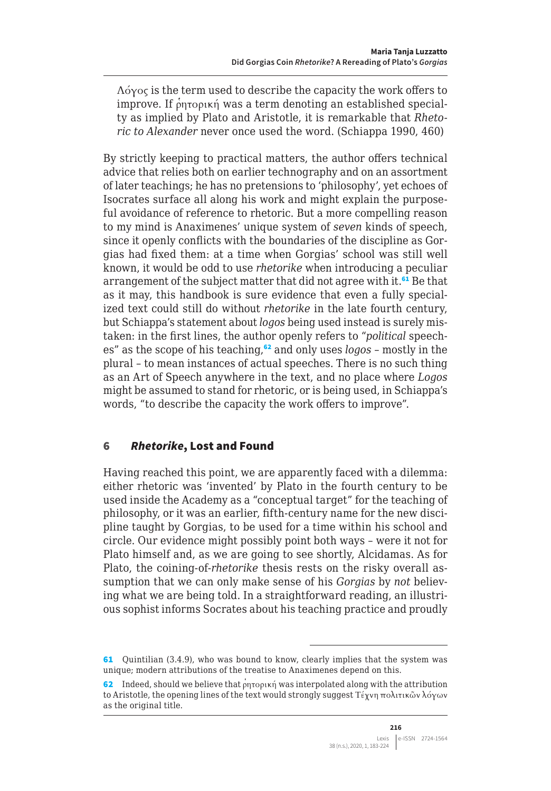Λόγος is the term used to describe the capacity the work offers to improve. If ρητορική was a term denoting an established specialty as implied by Plato and Aristotle, it is remarkable that *Rhetoric to Alexander* never once used the word. (Schiappa 1990, 460)

By strictly keeping to practical matters, the author offers technical advice that relies both on earlier technography and on an assortment of later teachings; he has no pretensions to 'philosophy', yet echoes of Isocrates surface all along his work and might explain the purposeful avoidance of reference to rhetoric. But a more compelling reason to my mind is Anaximenes' unique system of *seven* kinds of speech, since it openly conflicts with the boundaries of the discipline as Gorgias had fixed them: at a time when Gorgias' school was still well known, it would be odd to use *rhetorike* when introducing a peculiar arrangement of the subject matter that did not agree with it.<sup>61</sup> Be that as it may, this handbook is sure evidence that even a fully specialized text could still do without *rhetorike* in the late fourth century, but Schiappa's statement about *logos* being used instead is surely mistaken: in the first lines, the author openly refers to "*political* speeches" as the scope of his teaching,<sup>62</sup> and only uses *logos* – mostly in the plural – to mean instances of actual speeches. There is no such thing as an Art of Speech anywhere in the text, and no place where *Logos* might be assumed to stand for rhetoric, or is being used, in Schiappa's words, "to describe the capacity the work offers to improve".

## 6 *Rhetorike*, Lost and Found

Having reached this point, we are apparently faced with a dilemma: either rhetoric was 'invented' by Plato in the fourth century to be used inside the Academy as a "conceptual target" for the teaching of philosophy, or it was an earlier, fifth-century name for the new discipline taught by Gorgias, to be used for a time within his school and circle. Our evidence might possibly point both ways – were it not for Plato himself and, as we are going to see shortly, Alcidamas. As for Plato, the coining-of-*rhetorike* thesis rests on the risky overall assumption that we can only make sense of his *Gorgias* by *not* believing what we are being told. In a straightforward reading, an illustrious sophist informs Socrates about his teaching practice and proudly

<sup>61</sup> Quintilian (3.4.9), who was bound to know, clearly implies that the system was unique; modern attributions of the treatise to Anaximenes depend on this.

<sup>62</sup> Indeed, should we believe that  $\rho$ ητορική was interpolated along with the attribution to Aristotle, the opening lines of the text would strongly suggest Τέχνη πολιτικῶν λόγων as the original title.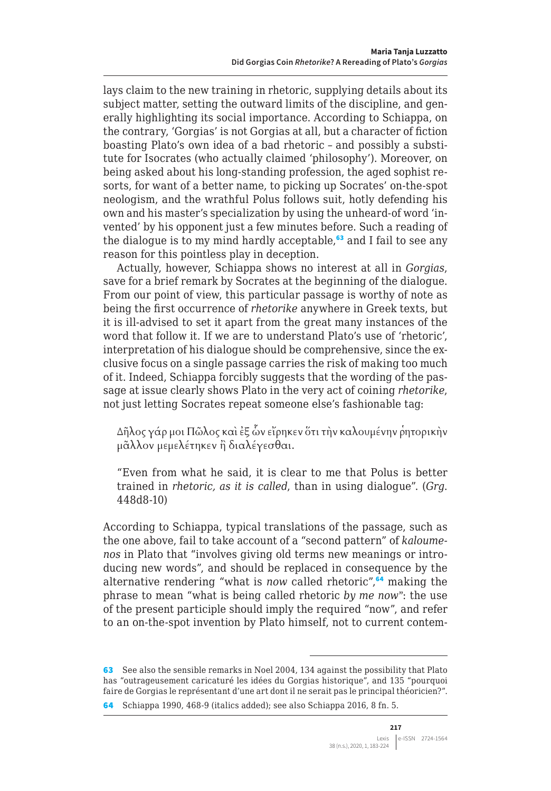lays claim to the new training in rhetoric, supplying details about its subject matter, setting the outward limits of the discipline, and generally highlighting its social importance. According to Schiappa, on the contrary, 'Gorgias' is not Gorgias at all, but a character of fiction boasting Plato's own idea of a bad rhetoric – and possibly a substitute for Isocrates (who actually claimed 'philosophy'). Moreover, on being asked about his long-standing profession, the aged sophist resorts, for want of a better name, to picking up Socrates' on-the-spot neologism, and the wrathful Polus follows suit, hotly defending his own and his master's specialization by using the unheard-of word 'invented' by his opponent just a few minutes before. Such a reading of the dialogue is to my mind hardly acceptable, $63$  and I fail to see any reason for this pointless play in deception.

Actually, however, Schiappa shows no interest at all in *Gorgias*, save for a brief remark by Socrates at the beginning of the dialogue. From our point of view, this particular passage is worthy of note as being the first occurrence of *rhetorike* anywhere in Greek texts, but it is ill-advised to set it apart from the great many instances of the word that follow it. If we are to understand Plato's use of 'rhetoric', interpretation of his dialogue should be comprehensive, since the exclusive focus on a single passage carries the risk of making too much of it. Indeed, Schiappa forcibly suggests that the wording of the passage at issue clearly shows Plato in the very act of coining *rhetorike*, not just letting Socrates repeat someone else's fashionable tag:

Δῆλος γάρ μοι Πῶλος καὶ ἐξ ὧν εἴρηκεν ὅτι τὴν καλουμένην ῥητορικὴν μᾶλλον μεμελέτηκεν ἢ διαλέγεσθαι.

"Even from what he said, it is clear to me that Polus is better trained in *rhetoric, as it is called*, than in using dialogue". (*Grg*. 448d8-10)

According to Schiappa, typical translations of the passage, such as the one above, fail to take account of a "second pattern" of *kaloumenos* in Plato that "involves giving old terms new meanings or introducing new words", and should be replaced in consequence by the alternative rendering "what is *now* called rhetoric",<sup>64</sup> making the phrase to mean "what is being called rhetoric *by me now*": the use of the present participle should imply the required "now", and refer to an on-the-spot invention by Plato himself, not to current contem-

<sup>63</sup> See also the sensible remarks in Noel 2004, 134 against the possibility that Plato has "outrageusement caricaturé les idées du Gorgias historique", and 135 "pourquoi faire de Gorgias le représentant d'une art dont il ne serait pas le principal théoricien?".

<sup>64</sup> Schiappa 1990, 468-9 (italics added); see also Schiappa 2016, 8 fn. 5.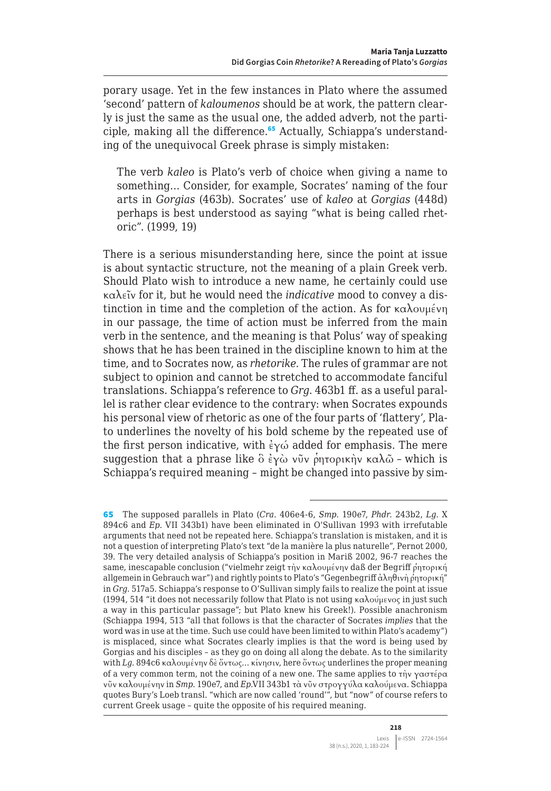porary usage. Yet in the few instances in Plato where the assumed 'second' pattern of *kaloumenos* should be at work, the pattern clearly is just the same as the usual one, the added adverb, not the participle, making all the difference.<sup>65</sup> Actually, Schiappa's understanding of the unequivocal Greek phrase is simply mistaken:

The verb *kaleo* is Plato's verb of choice when giving a name to something… Consider, for example, Socrates' naming of the four arts in *Gorgias* (463b). Socrates' use of *kaleo* at *Gorgias* (448d) perhaps is best understood as saying "what is being called rhetoric". (1999, 19)

There is a serious misunderstanding here, since the point at issue is about syntactic structure, not the meaning of a plain Greek verb. Should Plato wish to introduce a new name, he certainly could use καλεῖν for it, but he would need the *indicative* mood to convey a distinction in time and the completion of the action. As for καλουμένη in our passage, the time of action must be inferred from the main verb in the sentence, and the meaning is that Polus' way of speaking shows that he has been trained in the discipline known to him at the time, and to Socrates now, as *rhetorike*. The rules of grammar are not subject to opinion and cannot be stretched to accommodate fanciful translations. Schiappa's reference to *Grg*. 463b1 ff. as a useful parallel is rather clear evidence to the contrary: when Socrates expounds his personal view of rhetoric as one of the four parts of 'flattery', Plato underlines the novelty of his bold scheme by the repeated use of the first person indicative, with  $\frac{2}{x}$  added for emphasis. The mere suggestion that a phrase like  $\delta \epsilon y \omega y \psi$ νῦν ρητορικὴν καλῶ - which is Schiappa's required meaning – might be changed into passive by sim-

<sup>65</sup> The supposed parallels in Plato (*Cra*. 406e4-6, *Smp*. 190e7, *Phdr*. 243b2, *Lg*. X 894c6 and *Ep*. VII 343b1) have been eliminated in O'Sullivan 1993 with irrefutable arguments that need not be repeated here. Schiappa's translation is mistaken, and it is not a question of interpreting Plato's text "de la manière la plus naturelle", Pernot 2000, 39. The very detailed analysis of Schiappa's position in Mariß 2002, 96-7 reaches the same, inescapable conclusion ("vielmehr zeigt τὴν καλουμένην daß der Begriff ρητορική allgemein in Gebrauch war") and rightly points to Plato's "Gegenbegriff άληθινὴ ρητορική" in *Grg*. 517a5. Schiappa's response to O'Sullivan simply fails to realize the point at issue (1994, 514 "it does not necessarily follow that Plato is not using καλούμενος in just such a way in this particular passage"; but Plato knew his Greek!). Possible anachronism (Schiappa 1994, 513 "all that follows is that the character of Socrates *implies* that the word was in use at the time. Such use could have been limited to within Plato's academy") is misplaced, since what Socrates clearly implies is that the word is being used by Gorgias and his disciples – as they go on doing all along the debate. As to the similarity with *Lg*. 894c6 καλουμένην δὲ ὄντως… κίνησιν, here ὄντως underlines the proper meaning of a very common term, not the coining of a new one. The same applies to τὴν γαστέρα νῦν καλουμένην in *Smp*. 190e7, and *Ep*.VII 343b1 τὰ νῦν στρογγύλα καλούμενα. Schiappa quotes Bury's Loeb transl. "which are now called 'round'", but "now" of course refers to current Greek usage – quite the opposite of his required meaning.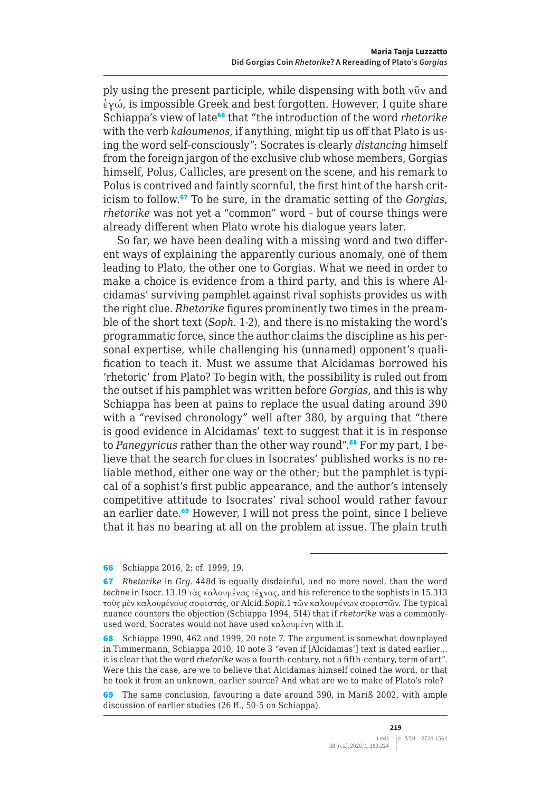ply using the present participle, while dispensing with both νῦν and ἐγώ, is impossible Greek and best forgotten. However, I quite share Schiappa's view of late<sup>66</sup> that "the introduction of the word *rhetorike* with the verb *kaloumenos*, if anything, might tip us off that Plato is using the word self-consciously": Socrates is clearly *distancing* himself from the foreign jargon of the exclusive club whose members, Gorgias himself, Polus, Callicles, are present on the scene, and his remark to Polus is contrived and faintly scornful, the first hint of the harsh criticism to follow.<sup>67</sup> To be sure, in the dramatic setting of the *Gorgias*, *rhetorike* was not yet a "common" word – but of course things were already different when Plato wrote his dialogue years later.

So far, we have been dealing with a missing word and two different ways of explaining the apparently curious anomaly, one of them leading to Plato, the other one to Gorgias. What we need in order to make a choice is evidence from a third party, and this is where Alcidamas' surviving pamphlet against rival sophists provides us with the right clue. *Rhetorike* figures prominently two times in the preamble of the short text (*Soph*. 1-2), and there is no mistaking the word's programmatic force, since the author claims the discipline as his personal expertise, while challenging his (unnamed) opponent's qualification to teach it. Must we assume that Alcidamas borrowed his 'rhetoric' from Plato? To begin with, the possibility is ruled out from the outset if his pamphlet was written before *Gorgias*, and this is why Schiappa has been at pains to replace the usual dating around 390 with a "revised chronology" well after 380, by arguing that "there is good evidence in Alcidamas' text to suggest that it is in response to *Panegyricus* rather than the other way round".68 For my part, I believe that the search for clues in Isocrates' published works is no reliable method, either one way or the other; but the pamphlet is typical of a sophist's first public appearance, and the author's intensely competitive attitude to Isocrates' rival school would rather favour an earlier date.<sup>69</sup> However, I will not press the point, since I believe that it has no bearing at all on the problem at issue. The plain truth

<sup>66</sup> Schiappa 2016, 2; cf. 1999, 19.

<sup>67</sup> *Rhetorike* in *Grg*. 448d is equally disdainful, and no more novel, than the word *techne* in Isocr. 13.19 τὰς καλουμένας τέχνας, and his reference to the sophists in 15.313 τοὺς μὲν καλουμένους σοφιστάς, or Alcid.*Soph*.1 τῶν καλουμένων σοφιστῶν. The typical nuance counters the objection (Schiappa 1994, 514) that if *rhetorike* was a commonlyused word, Socrates would not have used καλουμένη with it.

<sup>68</sup> Schiappa 1990, 462 and 1999, 20 note 7. The argument is somewhat downplayed in Timmermann, Schiappa 2010, 10 note 3 "even if [Alcidamas'] text is dated earlier… it is clear that the word *rhetorike* was a fourth-century, not a fifth-century, term of art". Were this the case, are we to believe that Alcidamas himself coined the word, or that he took it from an unknown, earlier source? And what are we to make of Plato's role?

<sup>69</sup> The same conclusion, favouring a date around 390, in Mariß 2002, with ample discussion of earlier studies (26 ff., 50-5 on Schiappa).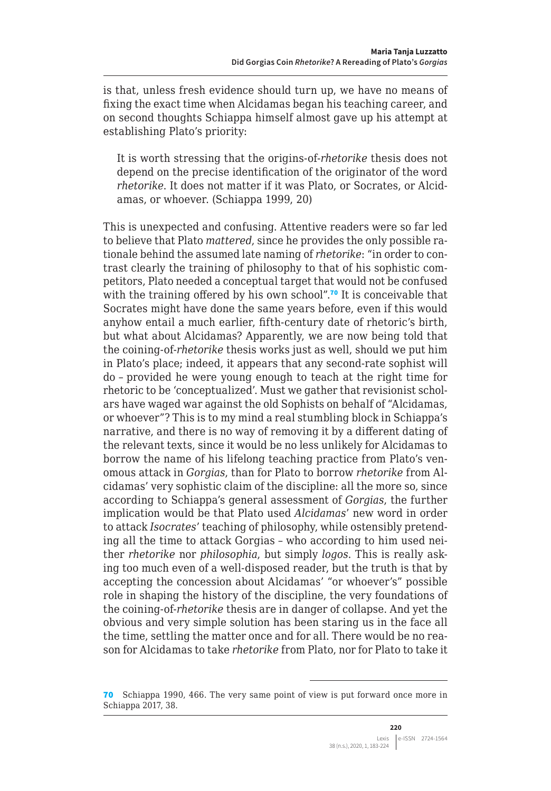is that, unless fresh evidence should turn up, we have no means of fixing the exact time when Alcidamas began his teaching career, and on second thoughts Schiappa himself almost gave up his attempt at establishing Plato's priority:

It is worth stressing that the origins-of-*rhetorike* thesis does not depend on the precise identification of the originator of the word *rhetorike*. It does not matter if it was Plato, or Socrates, or Alcidamas, or whoever. (Schiappa 1999, 20)

This is unexpected and confusing. Attentive readers were so far led to believe that Plato *mattered*, since he provides the only possible rationale behind the assumed late naming of *rhetorike*: "in order to contrast clearly the training of philosophy to that of his sophistic competitors, Plato needed a conceptual target that would not be confused with the training offered by his own school".<sup>70</sup> It is conceivable that Socrates might have done the same years before, even if this would anyhow entail a much earlier, fifth-century date of rhetoric's birth, but what about Alcidamas? Apparently, we are now being told that the coining-of-*rhetorike* thesis works just as well, should we put him in Plato's place; indeed, it appears that any second-rate sophist will do – provided he were young enough to teach at the right time for rhetoric to be 'conceptualized'. Must we gather that revisionist scholars have waged war against the old Sophists on behalf of "Alcidamas, or whoever"? This is to my mind a real stumbling block in Schiappa's narrative, and there is no way of removing it by a different dating of the relevant texts, since it would be no less unlikely for Alcidamas to borrow the name of his lifelong teaching practice from Plato's venomous attack in *Gorgias*, than for Plato to borrow *rhetorike* from Alcidamas' very sophistic claim of the discipline: all the more so, since according to Schiappa's general assessment of *Gorgias*, the further implication would be that Plato used *Alcidamas*' new word in order to attack *Isocrates*' teaching of philosophy, while ostensibly pretending all the time to attack Gorgias – who according to him used neither *rhetorike* nor *philosophia*, but simply *logos*. This is really asking too much even of a well-disposed reader, but the truth is that by accepting the concession about Alcidamas' "or whoever's" possible role in shaping the history of the discipline, the very foundations of the coining-of-*rhetorike* thesis are in danger of collapse. And yet the obvious and very simple solution has been staring us in the face all the time, settling the matter once and for all. There would be no reason for Alcidamas to take *rhetorike* from Plato, nor for Plato to take it

<sup>70</sup> Schiappa 1990, 466. The very same point of view is put forward once more in Schiappa 2017, 38.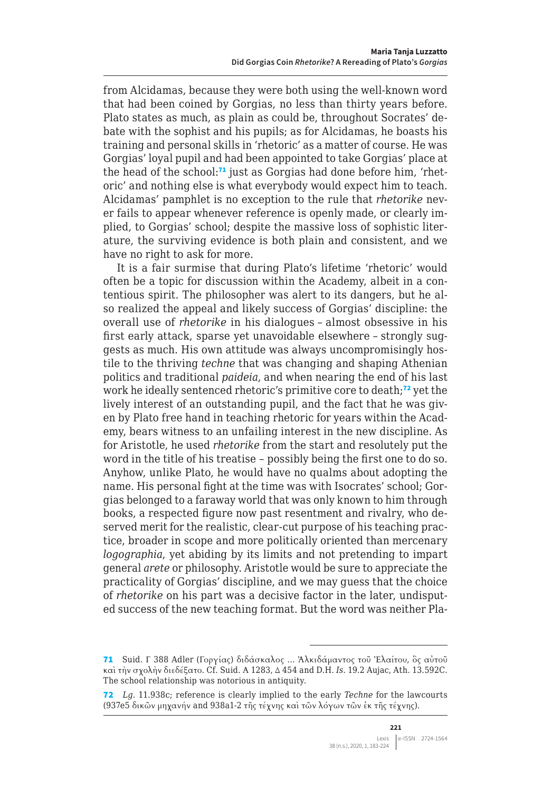from Alcidamas, because they were both using the well-known word that had been coined by Gorgias, no less than thirty years before. Plato states as much, as plain as could be, throughout Socrates' debate with the sophist and his pupils; as for Alcidamas, he boasts his training and personal skills in 'rhetoric' as a matter of course. He was Gorgias' loyal pupil and had been appointed to take Gorgias' place at the head of the school:<sup>71</sup> just as Gorgias had done before him, 'rhetoric' and nothing else is what everybody would expect him to teach. Alcidamas' pamphlet is no exception to the rule that *rhetorike* never fails to appear whenever reference is openly made, or clearly implied, to Gorgias' school; despite the massive loss of sophistic literature, the surviving evidence is both plain and consistent, and we have no right to ask for more.

It is a fair surmise that during Plato's lifetime 'rhetoric' would often be a topic for discussion within the Academy, albeit in a contentious spirit. The philosopher was alert to its dangers, but he also realized the appeal and likely success of Gorgias' discipline: the overall use of *rhetorike* in his dialogues – almost obsessive in his first early attack, sparse yet unavoidable elsewhere – strongly suggests as much. His own attitude was always uncompromisingly hostile to the thriving *techne* that was changing and shaping Athenian politics and traditional *paideia*, and when nearing the end of his last work he ideally sentenced rhetoric's primitive core to death;<sup>72</sup> yet the lively interest of an outstanding pupil, and the fact that he was given by Plato free hand in teaching rhetoric for years within the Academy, bears witness to an unfailing interest in the new discipline. As for Aristotle, he used *rhetorike* from the start and resolutely put the word in the title of his treatise – possibly being the first one to do so. Anyhow, unlike Plato, he would have no qualms about adopting the name. His personal fight at the time was with Isocrates' school; Gorgias belonged to a faraway world that was only known to him through books, a respected figure now past resentment and rivalry, who deserved merit for the realistic, clear-cut purpose of his teaching practice, broader in scope and more politically oriented than mercenary *logographia*, yet abiding by its limits and not pretending to impart general *arete* or philosophy. Aristotle would be sure to appreciate the practicality of Gorgias' discipline, and we may guess that the choice of *rhetorike* on his part was a decisive factor in the later, undisputed success of the new teaching format. But the word was neither Pla-

<sup>71</sup> Suid. Γ 388 Adler (Γοργίας) διδάσκαλος … Ἀλκιδάμαντος τοῦ Ἐλαίτου, ὃς αὐτοῦ καὶ τὴν σχολὴν διεδέξατο. Cf. Suid. Α 1283, Δ 454 and D.H. *Is*. 19.2 Aujac, Ath. 13.592C. The school relationship was notorious in antiquity.

<sup>72</sup> *Lg*. 11.938c; reference is clearly implied to the early *Techne* for the lawcourts (937e5 δικῶν μηχανήν and 938a1-2 τῆς τέχνης καὶ τῶν λόγων τῶν ἐκ τῆς τέχνης).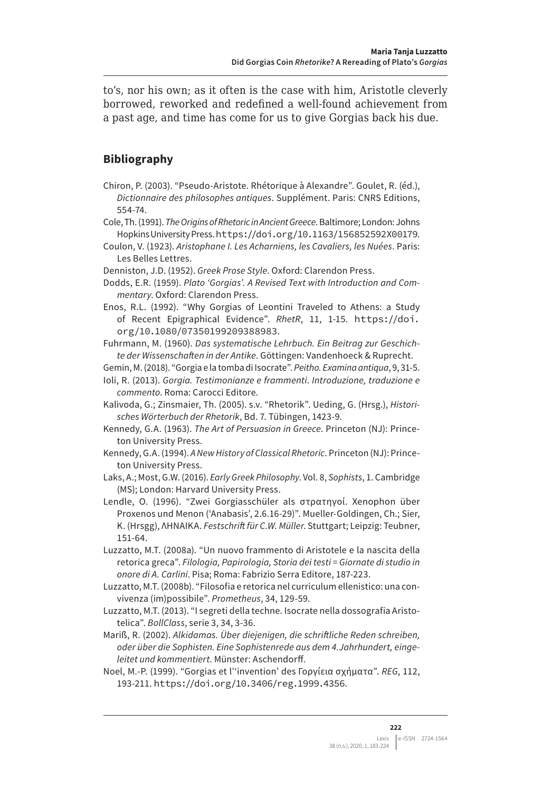to's, nor his own; as it often is the case with him, Aristotle cleverly borrowed, reworked and redefined a well-found achievement from a past age, and time has come for us to give Gorgias back his due.

# **Bibliography**

- Chiron, P. (2003). "Pseudo-Aristote. Rhétorique à Alexandre". Goulet, R. (éd.), *Dictionnaire des philosophes antiques*. Supplément. Paris: CNRS Editions, 554-74.
- Cole, Th. (1991). *The Origins of Rhetoric in Ancient Greece*. Baltimore; London: Johns Hopkins University Press. <https://doi.org/10.1163/156852592X00179>.
- Coulon, V. (1923). *Aristophane I. Les Acharniens, les Cavaliers, les Nuées*. Paris: Les Belles Lettres.
- Denniston, J.D. (1952). *Greek Prose Style*. Oxford: Clarendon Press.
- Dodds, E.R. (1959). *Plato 'Gorgias'. A Revised Text with Introduction and Commentary*. Oxford: Clarendon Press.
- Enos, R.L. (1992). "Why Gorgias of Leontini Traveled to Athens: a Study of Recent Epigraphical Evidence". *RhetR*, 11, 1-15. [https://doi.](https://doi.org/10.1080/07350199209388983) [org/10.1080/07350199209388983](https://doi.org/10.1080/07350199209388983).

Fuhrmann, M. (1960). *Das systematische Lehrbuch. Ein Beitrag zur Geschichte der Wissenschaften in der Antike*. Göttingen: Vandenhoeck & Ruprecht.

- Gemin, M. (2018). "Gorgia e la tomba di Isocrate". *Peitho. Examina antiqua*, 9, 31-5.
- Ioli, R. (2013). *Gorgia. Testimonianze e frammenti*. *Introduzione, traduzione e commento*. Roma: Carocci Editore.
- Kalivoda, G.; Zinsmaier, Th. (2005). s.v. "Rhetorik". Ueding, G. (Hrsg.), *Historisches Wörterbuch der Rhetorik*, Bd. 7. Tübingen, 1423-9.
- Kennedy, G.A. (1963). *The Art of Persuasion in Greece*. Princeton (NJ): Princeton University Press.
- Kennedy, G.A. (1994). *A New History of Classical Rhetoric*. Princeton (NJ): Princeton University Press.
- Laks, A.; Most, G.W. (2016). *Early Greek Philosophy*. Vol. 8, *Sophists*, 1. Cambridge (MS); London: Harvard University Press.
- Lendle, O. (1996). "Zwei Gorgiasschüler als στρατηγοί. Xenophon über Proxenos und Menon ('Anabasis', 2.6.16-29)". Mueller-Goldingen, Ch.; Sier, K. (Hrsgg), ΛΗΝΑΙΚΑ. *Festschrift für C.W. Müller*. Stuttgart; Leipzig: Teubner, 151-64.
- Luzzatto, M.T. (2008a). "Un nuovo frammento di Aristotele e la nascita della retorica greca". *Filologia, Papirologia, Storia dei testi = Giornate di studio in onore di A. Carlini*. Pisa; Roma: Fabrizio Serra Editore, 187-223.
- Luzzatto, M.T. (2008b). "Filosofia e retorica nel curriculum ellenistico: una convivenza (im)possibile". *Prometheus*, 34, 129-59.
- Luzzatto, M.T. (2013). "I segreti della techne. Isocrate nella dossografia Aristotelica". *BollClass*, serie 3, 34, 3-36.

Mariß, R. (2002). *Alkidamas. Über diejenigen, die schriftliche Reden schreiben, oder über die Sophisten. Eine Sophistenrede aus dem 4.Jahrhundert, eingeleitet und kommentiert*. Münster: Aschendorff.

Noel, M.-P. (1999). "Gorgias et l''invention' des Γοργίεια σχήματα". *REG*, 112, 193-211. <https://doi.org/10.3406/reg.1999.4356>.